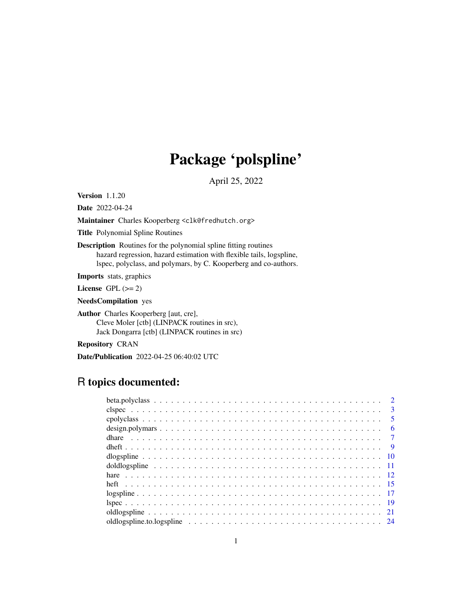# Package 'polspline'

April 25, 2022

<span id="page-0-0"></span>Version 1.1.20

Date 2022-04-24

Maintainer Charles Kooperberg <clk@fredhutch.org>

Title Polynomial Spline Routines

Description Routines for the polynomial spline fitting routines hazard regression, hazard estimation with flexible tails, logspline, lspec, polyclass, and polymars, by C. Kooperberg and co-authors.

Imports stats, graphics

License GPL  $(>= 2)$ 

NeedsCompilation yes

Author Charles Kooperberg [aut, cre], Cleve Moler [ctb] (LINPACK routines in src), Jack Dongarra [ctb] (LINPACK routines in src)

Repository CRAN

Date/Publication 2022-04-25 06:40:02 UTC

# R topics documented:

|  |  |  |  |  |  |  |  |  |  |  |  |  |  |  |  |  |  |  | $\overline{2}$  |
|--|--|--|--|--|--|--|--|--|--|--|--|--|--|--|--|--|--|--|-----------------|
|  |  |  |  |  |  |  |  |  |  |  |  |  |  |  |  |  |  |  | $\overline{3}$  |
|  |  |  |  |  |  |  |  |  |  |  |  |  |  |  |  |  |  |  | $5\overline{)}$ |
|  |  |  |  |  |  |  |  |  |  |  |  |  |  |  |  |  |  |  | - 6             |
|  |  |  |  |  |  |  |  |  |  |  |  |  |  |  |  |  |  |  |                 |
|  |  |  |  |  |  |  |  |  |  |  |  |  |  |  |  |  |  |  |                 |
|  |  |  |  |  |  |  |  |  |  |  |  |  |  |  |  |  |  |  |                 |
|  |  |  |  |  |  |  |  |  |  |  |  |  |  |  |  |  |  |  |                 |
|  |  |  |  |  |  |  |  |  |  |  |  |  |  |  |  |  |  |  |                 |
|  |  |  |  |  |  |  |  |  |  |  |  |  |  |  |  |  |  |  |                 |
|  |  |  |  |  |  |  |  |  |  |  |  |  |  |  |  |  |  |  |                 |
|  |  |  |  |  |  |  |  |  |  |  |  |  |  |  |  |  |  |  |                 |
|  |  |  |  |  |  |  |  |  |  |  |  |  |  |  |  |  |  |  |                 |
|  |  |  |  |  |  |  |  |  |  |  |  |  |  |  |  |  |  |  |                 |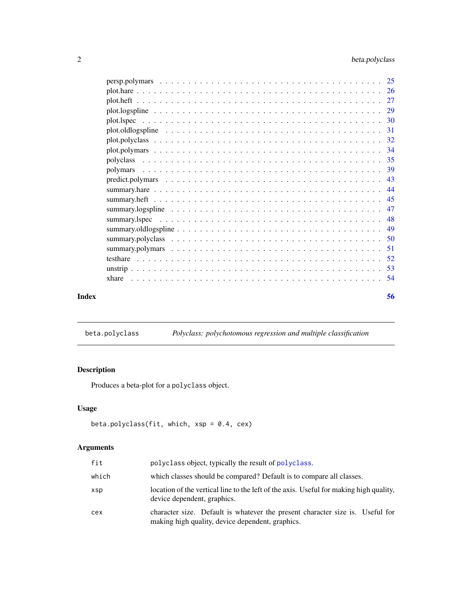<span id="page-1-0"></span>

| Index | 56 |
|-------|----|

<span id="page-1-1"></span>beta.polyclass *Polyclass: polychotomous regression and multiple classification*

# Description

Produces a beta-plot for a polyclass object.

# Usage

```
beta.polyclass(fit, which, xsp = 0.4, cex)
```

| fit   | polyclass object, typically the result of polyclass.                                                                              |
|-------|-----------------------------------------------------------------------------------------------------------------------------------|
| which | which classes should be compared? Default is to compare all classes.                                                              |
| xsp   | location of the vertical line to the left of the axis. Useful for making high quality,<br>device dependent, graphics.             |
| cex   | character size. Default is whatever the present character size is. Useful for<br>making high quality, device dependent, graphics. |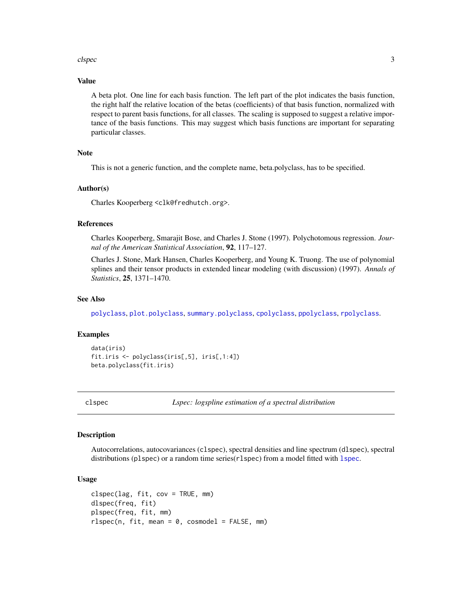#### <span id="page-2-0"></span>clspec 3 and 3 and 3 and 3 and 3 and 3 and 3 and 3 and 3 and 3 and 3 and 3 and 3 and 3 and 3 and 3 and 3 and 3 and 3 and 3 and 3 and 3 and 3 and 3 and 3 and 3 and 3 and 3 and 3 and 3 and 3 and 3 and 3 and 3 and 3 and 3 and

# Value

A beta plot. One line for each basis function. The left part of the plot indicates the basis function, the right half the relative location of the betas (coefficients) of that basis function, normalized with respect to parent basis functions, for all classes. The scaling is supposed to suggest a relative importance of the basis functions. This may suggest which basis functions are important for separating particular classes.

# Note

This is not a generic function, and the complete name, beta.polyclass, has to be specified.

#### Author(s)

Charles Kooperberg <clk@fredhutch.org>.

#### References

Charles Kooperberg, Smarajit Bose, and Charles J. Stone (1997). Polychotomous regression. *Journal of the American Statistical Association*, 92, 117–127.

Charles J. Stone, Mark Hansen, Charles Kooperberg, and Young K. Truong. The use of polynomial splines and their tensor products in extended linear modeling (with discussion) (1997). *Annals of Statistics*, 25, 1371–1470.

#### See Also

[polyclass](#page-34-1), [plot.polyclass](#page-31-1), [summary.polyclass](#page-49-1), [cpolyclass](#page-4-1), [ppolyclass](#page-4-2), [rpolyclass](#page-4-2).

#### Examples

```
data(iris)
fit.iris <- polyclass(iris[,5], iris[,1:4])
beta.polyclass(fit.iris)
```
<span id="page-2-1"></span>clspec *Lspec: logspline estimation of a spectral distribution*

#### <span id="page-2-2"></span>Description

Autocorrelations, autocovariances (clspec), spectral densities and line spectrum (dlspec), spectral distributions (p[lspec](#page-18-1)) or a random time series(rlspec) from a model fitted with lspec.

#### Usage

```
clspec(lag, fit, cov = TRUE, mm)
dlspec(freq, fit)
plspec(freq, fit, mm)
rlspec(n, fit, mean = 0, cosmodel = FALSE, mm)
```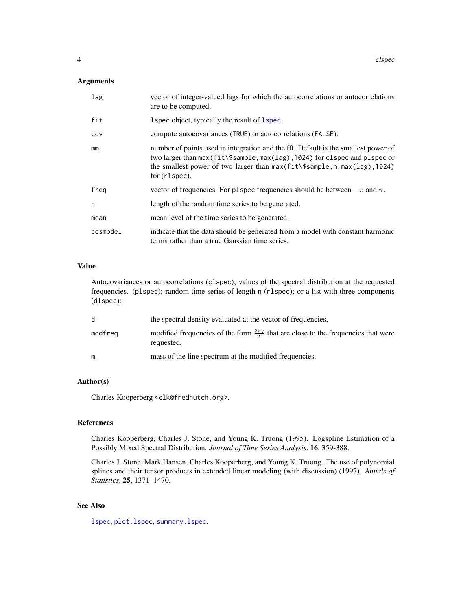# <span id="page-3-0"></span>Arguments

| lag      | vector of integer-valued lags for which the autocorrelations or autocorrelations<br>are to be computed.                                                                                                                                                                    |
|----------|----------------------------------------------------------------------------------------------------------------------------------------------------------------------------------------------------------------------------------------------------------------------------|
| fit      | 1 spec object, typically the result of 1 spec.                                                                                                                                                                                                                             |
| COV      | compute autocovariances (TRUE) or autocorrelations (FALSE).                                                                                                                                                                                                                |
| mm       | number of points used in integration and the fft. Default is the smallest power of<br>two larger than $max(fit\$ sample, $max(lag)$ , 1024) for clspec and plspec or<br>the smallest power of two larger than $max(fit\$ \$sample, n, max $(lag)$ , 1024)<br>for (rlspec). |
| freq     | vector of frequencies. For p1spec frequencies should be between $-\pi$ and $\pi$ .                                                                                                                                                                                         |
| n        | length of the random time series to be generated.                                                                                                                                                                                                                          |
| mean     | mean level of the time series to be generated.                                                                                                                                                                                                                             |
| cosmodel | indicate that the data should be generated from a model with constant harmonic<br>terms rather than a true Gaussian time series.                                                                                                                                           |

# Value

Autocovariances or autocorrelations (clspec); values of the spectral distribution at the requested frequencies. (plspec); random time series of length n (rlspec); or a list with three components (dlspec):

| <sub>d</sub> | the spectral density evaluated at the vector of frequencies.                                                  |
|--------------|---------------------------------------------------------------------------------------------------------------|
| modfreg      | modified frequencies of the form $\frac{2\pi j}{T}$ that are close to the frequencies that were<br>requested, |
| m            | mass of the line spectrum at the modified frequencies.                                                        |

# Author(s)

Charles Kooperberg <clk@fredhutch.org>.

#### References

Charles Kooperberg, Charles J. Stone, and Young K. Truong (1995). Logspline Estimation of a Possibly Mixed Spectral Distribution. *Journal of Time Series Analysis*, 16, 359-388.

Charles J. Stone, Mark Hansen, Charles Kooperberg, and Young K. Truong. The use of polynomial splines and their tensor products in extended linear modeling (with discussion) (1997). *Annals of Statistics*, 25, 1371–1470.

# See Also

[lspec](#page-18-1), [plot.lspec](#page-29-1), [summary.lspec](#page-47-1).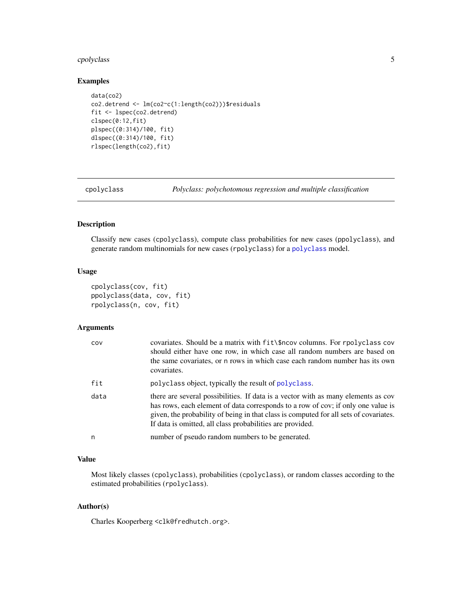# <span id="page-4-0"></span>cpolyclass 5

# Examples

```
data(co2)
co2.detrend <- lm(co2~c(1:length(co2)))$residuals
fit <- lspec(co2.detrend)
clspec(0:12,fit)
plspec((0:314)/100, fit)
dlspec((0:314)/100, fit)
rlspec(length(co2),fit)
```
<span id="page-4-1"></span>cpolyclass *Polyclass: polychotomous regression and multiple classification*

# <span id="page-4-2"></span>Description

Classify new cases (cpolyclass), compute class probabilities for new cases (ppolyclass), and generate random multinomials for new cases (rpolyclass) for a [polyclass](#page-34-1) model.

# Usage

```
cpolyclass(cov, fit)
ppolyclass(data, cov, fit)
rpolyclass(n, cov, fit)
```
#### Arguments

| COV  | covariates. Should be a matrix with fit \\$ncov columns. For rpolyclass cov<br>should either have one row, in which case all random numbers are based on<br>the same covariates, or n rows in which case each random number has its own<br>covariates.                                                                      |
|------|-----------------------------------------------------------------------------------------------------------------------------------------------------------------------------------------------------------------------------------------------------------------------------------------------------------------------------|
| fit  | polyclass object, typically the result of polyclass.                                                                                                                                                                                                                                                                        |
| data | there are several possibilities. If data is a vector with as many elements as cov<br>has rows, each element of data corresponds to a row of cov; if only one value is<br>given, the probability of being in that class is computed for all sets of covariates.<br>If data is omitted, all class probabilities are provided. |
| n    | number of pseudo random numbers to be generated.                                                                                                                                                                                                                                                                            |

# Value

Most likely classes (cpolyclass), probabilities (cpolyclass), or random classes according to the estimated probabilities (rpolyclass).

### Author(s)

Charles Kooperberg <clk@fredhutch.org>.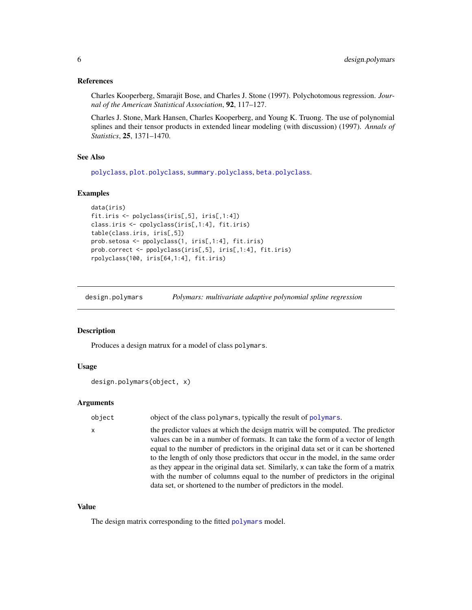#### <span id="page-5-0"></span>References

Charles Kooperberg, Smarajit Bose, and Charles J. Stone (1997). Polychotomous regression. *Journal of the American Statistical Association*, 92, 117–127.

Charles J. Stone, Mark Hansen, Charles Kooperberg, and Young K. Truong. The use of polynomial splines and their tensor products in extended linear modeling (with discussion) (1997). *Annals of Statistics*, 25, 1371–1470.

# See Also

[polyclass](#page-34-1), [plot.polyclass](#page-31-1), [summary.polyclass](#page-49-1), [beta.polyclass](#page-1-1).

#### Examples

```
data(iris)
fit.iris <- polyclass(iris[,5], iris[,1:4])
class.iris <- cpolyclass(iris[,1:4], fit.iris)
table(class.iris, iris[,5])
prob.setosa <- ppolyclass(1, iris[,1:4], fit.iris)
prob.correct <- ppolyclass(iris[,5], iris[,1:4], fit.iris)
rpolyclass(100, iris[64,1:4], fit.iris)
```
<span id="page-5-1"></span>design.polymars *Polymars: multivariate adaptive polynomial spline regression*

#### **Description**

Produces a design matrux for a model of class polymars.

# Usage

```
design.polymars(object, x)
```
#### Arguments

| object | object of the class polymars, typically the result of polymars. |  |
|--------|-----------------------------------------------------------------|--|
|--------|-----------------------------------------------------------------|--|

x the predictor values at which the design matrix will be computed. The predictor values can be in a number of formats. It can take the form of a vector of length equal to the number of predictors in the original data set or it can be shortened to the length of only those predictors that occur in the model, in the same order as they appear in the original data set. Similarly, x can take the form of a matrix with the number of columns equal to the number of predictors in the original data set, or shortened to the number of predictors in the model.

#### Value

The design matrix corresponding to the fitted [polymars](#page-38-1) model.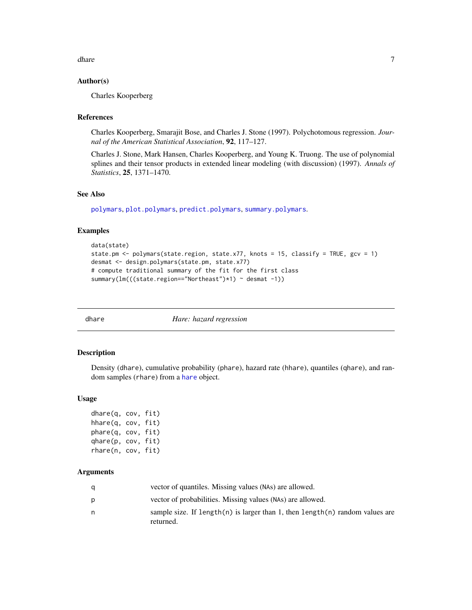<span id="page-6-0"></span>dhare 7 and 3 and 3 and 3 and 3 and 3 and 3 and 3 and 3 and 3 and 3 and 3 and 3 and 3 and 3 and 3 and 3 and 3 and 3 and 3 and 3 and 3 and 3 and 3 and 3 and 3 and 3 and 3 and 3 and 3 and 3 and 3 and 3 and 3 and 3 and 3 and

#### Author(s)

Charles Kooperberg

#### References

Charles Kooperberg, Smarajit Bose, and Charles J. Stone (1997). Polychotomous regression. *Journal of the American Statistical Association*, 92, 117–127.

Charles J. Stone, Mark Hansen, Charles Kooperberg, and Young K. Truong. The use of polynomial splines and their tensor products in extended linear modeling (with discussion) (1997). *Annals of Statistics*, 25, 1371–1470.

# See Also

[polymars](#page-38-1), [plot.polymars](#page-33-1), [predict.polymars](#page-42-1), [summary.polymars](#page-50-1).

#### Examples

```
data(state)
state.pm <- polymars(state.region, state.x77, knots = 15, classify = TRUE, gcv = 1)
desmat <- design.polymars(state.pm, state.x77)
# compute traditional summary of the fit for the first class
summary(lm(((state.region=="Northeast")*1) ~ desmat -1))
```
<span id="page-6-1"></span>

dhare *Hare: hazard regression*

#### <span id="page-6-2"></span>Description

Density (dhare), cumulative probability (phare), hazard rate (hhare), quantiles (qhare), and random samples (rhare) from a [hare](#page-11-1) object.

#### Usage

dhare(q, cov, fit) hhare(q, cov, fit) phare(q, cov, fit) qhare(p, cov, fit) rhare(n, cov, fit)

| a | vector of quantiles. Missing values (NAs) are allowed.                                    |
|---|-------------------------------------------------------------------------------------------|
| p | vector of probabilities. Missing values (NAs) are allowed.                                |
| n | sample size. If length(n) is larger than 1, then length(n) random values are<br>returned. |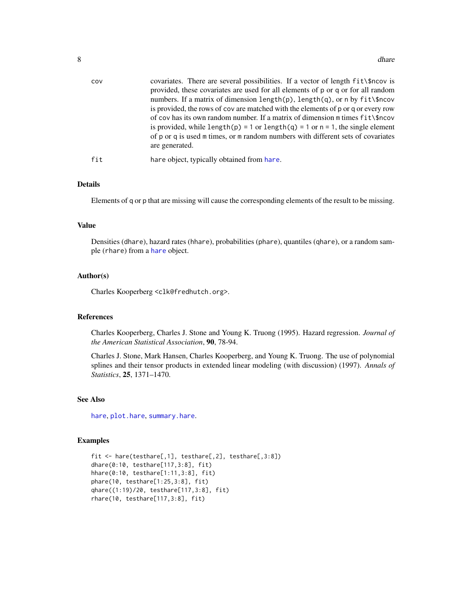<span id="page-7-0"></span>

| COV | covariates. There are several possibilities. If a vector of length fit\\$ncov is<br>provided, these covariates are used for all elements of p or q or for all random<br>numbers. If a matrix of dimension length $(p)$ , length $(q)$ , or n by fit \\$ncov<br>is provided, the rows of cov are matched with the elements of p or q or every row<br>of cov has its own random number. If a matrix of dimension m times $fit\$ rcov<br>is provided, while length(p) = 1 or length(q) = 1 or $n = 1$ , the single element<br>of p or q is used m times, or m random numbers with different sets of covariates<br>are generated. |
|-----|-------------------------------------------------------------------------------------------------------------------------------------------------------------------------------------------------------------------------------------------------------------------------------------------------------------------------------------------------------------------------------------------------------------------------------------------------------------------------------------------------------------------------------------------------------------------------------------------------------------------------------|
| fit | hare object, typically obtained from hare.                                                                                                                                                                                                                                                                                                                                                                                                                                                                                                                                                                                    |

# Details

Elements of q or p that are missing will cause the corresponding elements of the result to be missing.

# Value

Densities (dhare), hazard rates (hhare), probabilities (phare), quantiles (qhare), or a random sample (rhare) from a [hare](#page-11-1) object.

#### Author(s)

Charles Kooperberg <clk@fredhutch.org>.

#### References

Charles Kooperberg, Charles J. Stone and Young K. Truong (1995). Hazard regression. *Journal of the American Statistical Association*, 90, 78-94.

Charles J. Stone, Mark Hansen, Charles Kooperberg, and Young K. Truong. The use of polynomial splines and their tensor products in extended linear modeling (with discussion) (1997). *Annals of Statistics*, 25, 1371–1470.

#### See Also

[hare](#page-11-1), [plot.hare](#page-25-1), [summary.hare](#page-43-1).

#### Examples

```
fit <- hare(testhare[,1], testhare[,2], testhare[,3:8])
dhare(0:10, testhare[117,3:8], fit)
hhare(0:10, testhare[1:11,3:8], fit)
phare(10, testhare[1:25,3:8], fit)
qhare((1:19)/20, testhare[117,3:8], fit)
rhare(10, testhare[117,3:8], fit)
```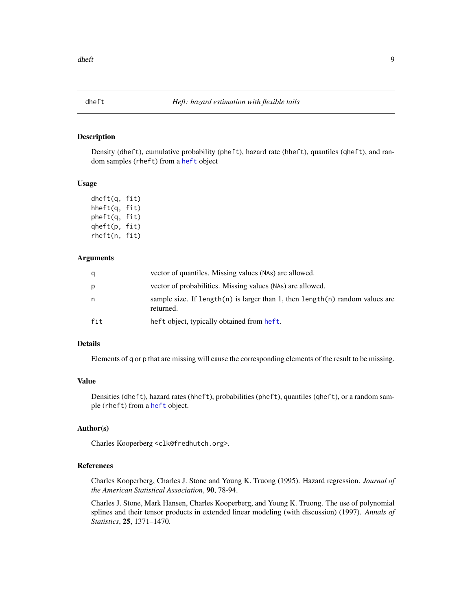<span id="page-8-1"></span><span id="page-8-0"></span>

# <span id="page-8-2"></span>Description

Density (dheft), cumulative probability (pheft), hazard rate (hheft), quantiles (qheft), and random samples (rheft) from a [heft](#page-14-1) object

#### Usage

dheft(q, fit) hheft(q, fit) pheft(q, fit) qheft(p, fit) rheft(n, fit)

#### Arguments

| q   | vector of quantiles. Missing values (NAs) are allowed.                                    |
|-----|-------------------------------------------------------------------------------------------|
| p   | vector of probabilities. Missing values (NAs) are allowed.                                |
| n.  | sample size. If length(n) is larger than 1, then length(n) random values are<br>returned. |
| fit | heft object, typically obtained from heft.                                                |

# Details

Elements of q or p that are missing will cause the corresponding elements of the result to be missing.

#### Value

Densities (dheft), hazard rates (hheft), probabilities (pheft), quantiles (qheft), or a random sample (rheft) from a [heft](#page-14-1) object.

# Author(s)

Charles Kooperberg <clk@fredhutch.org>.

# References

Charles Kooperberg, Charles J. Stone and Young K. Truong (1995). Hazard regression. *Journal of the American Statistical Association*, 90, 78-94.

Charles J. Stone, Mark Hansen, Charles Kooperberg, and Young K. Truong. The use of polynomial splines and their tensor products in extended linear modeling (with discussion) (1997). *Annals of Statistics*, 25, 1371–1470.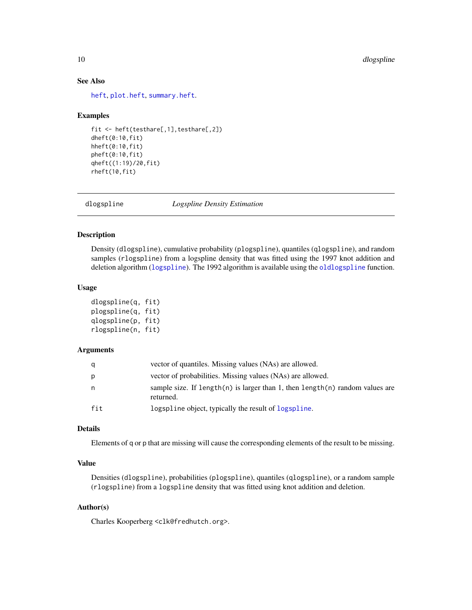# See Also

[heft](#page-14-1), [plot.heft](#page-26-1), [summary.heft](#page-44-1).

#### Examples

```
fit <- heft(testhare[,1],testhare[,2])
dheft(0:10,fit)
hheft(0:10,fit)
pheft(0:10,fit)
qheft((1:19)/20,fit)
rheft(10,fit)
```
<span id="page-9-1"></span>dlogspline *Logspline Density Estimation*

#### <span id="page-9-2"></span>Description

Density (dlogspline), cumulative probability (plogspline), quantiles (qlogspline), and random samples (rlogspline) from a logspline density that was fitted using the 1997 knot addition and deletion algorithm ([logspline](#page-16-1)). The 1992 algorithm is available using the [oldlogspline](#page-20-1) function.

### Usage

```
dlogspline(q, fit)
plogspline(q, fit)
qlogspline(p, fit)
rlogspline(n, fit)
```
#### Arguments

| q   | vector of quantiles. Missing values (NAs) are allowed.                                    |
|-----|-------------------------------------------------------------------------------------------|
| p   | vector of probabilities. Missing values (NAs) are allowed.                                |
| n   | sample size. If length(n) is larger than 1, then length(n) random values are<br>returned. |
| fit | logspline object, typically the result of logspline.                                      |

# Details

Elements of q or p that are missing will cause the corresponding elements of the result to be missing.

#### Value

Densities (dlogspline), probabilities (plogspline), quantiles (qlogspline), or a random sample (rlogspline) from a logspline density that was fitted using knot addition and deletion.

## Author(s)

Charles Kooperberg <clk@fredhutch.org>.

<span id="page-9-0"></span>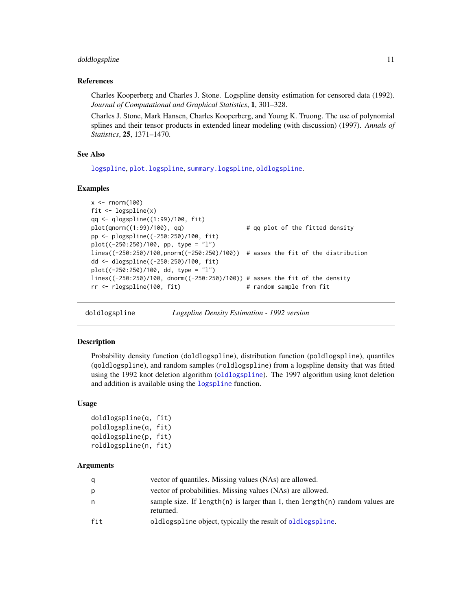#### <span id="page-10-0"></span>doldlogspline 11

#### References

Charles Kooperberg and Charles J. Stone. Logspline density estimation for censored data (1992). *Journal of Computational and Graphical Statistics*, 1, 301–328.

Charles J. Stone, Mark Hansen, Charles Kooperberg, and Young K. Truong. The use of polynomial splines and their tensor products in extended linear modeling (with discussion) (1997). *Annals of Statistics*, 25, 1371–1470.

#### See Also

[logspline](#page-16-1), [plot.logspline](#page-28-1), [summary.logspline](#page-46-1), [oldlogspline](#page-20-1).

#### Examples

```
x < - rnorm(100)
fit <- logspline(x)
qq <- qlogspline((1:99)/100, fit)
plot(qnorm((1:99)/100), qq) # qq plot of the fitted density
pp <- plogspline((-250:250)/100, fit)
plot((-250:250)/100, pp, type = "l")
lines((-250:250)/100,pnorm((-250:250)/100)) # asses the fit of the distribution
dd <- dlogspline((-250:250)/100, fit)
plot((-250:250)/100, dd, type = "l")
lines((-250:250)/100, dnorm((-250:250)/100)) # asses the fit of the density
rr <- rlogspline(100, fit) # random sample from fit
```
<span id="page-10-1"></span>doldlogspline *Logspline Density Estimation - 1992 version*

#### <span id="page-10-2"></span>Description

Probability density function (doldlogspline), distribution function (poldlogspline), quantiles (qoldlogspline), and random samples (roldlogspline) from a logspline density that was fitted using the 1992 knot deletion algorithm ([oldlogspline](#page-20-1)). The 1997 algorithm using knot deletion and addition is available using the [logspline](#page-16-1) function.

#### Usage

```
doldlogspline(q, fit)
poldlogspline(q, fit)
qoldlogspline(p, fit)
roldlogspline(n, fit)
```

| q   | vector of quantiles. Missing values (NAs) are allowed.                                    |
|-----|-------------------------------------------------------------------------------------------|
| p   | vector of probabilities. Missing values (NAs) are allowed.                                |
| n.  | sample size. If length(n) is larger than 1, then length(n) random values are<br>returned. |
| fit | oldlogspline object, typically the result of oldlogspline.                                |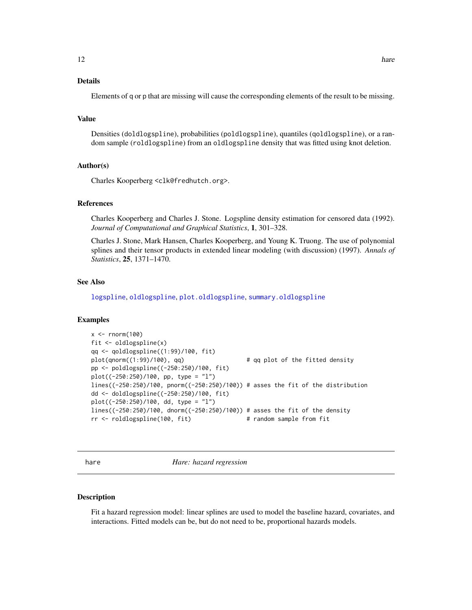# <span id="page-11-0"></span>Details

Elements of q or p that are missing will cause the corresponding elements of the result to be missing.

# Value

Densities (doldlogspline), probabilities (poldlogspline), quantiles (qoldlogspline), or a random sample (roldlogspline) from an oldlogspline density that was fitted using knot deletion.

#### Author(s)

Charles Kooperberg <clk@fredhutch.org>.

# References

Charles Kooperberg and Charles J. Stone. Logspline density estimation for censored data (1992). *Journal of Computational and Graphical Statistics*, 1, 301–328.

Charles J. Stone, Mark Hansen, Charles Kooperberg, and Young K. Truong. The use of polynomial splines and their tensor products in extended linear modeling (with discussion) (1997). *Annals of Statistics*, 25, 1371–1470.

# See Also

[logspline](#page-16-1), [oldlogspline](#page-20-1), [plot.oldlogspline](#page-30-1), [summary.oldlogspline](#page-48-1)

#### Examples

```
x < - rnorm(100)
fit <- oldlogspline(x)
qq <- qoldlogspline((1:99)/100, fit)
plot(qnorm((1:99)/100), qq) # qq plot of the fitted density
pp <- poldlogspline((-250:250)/100, fit)
plot((-250:250)/100, pp, type = "l")
lines((-250:250)/100, pnorm((-250:250)/100)) # asses the fit of the distribution
dd <- doldlogspline((-250:250)/100, fit)
plot((-250:250)/100, dd, type = "l")
lines((-250:250)/100, dnorm((-250:250)/100)) # asses the fit of the density
rr <- roldlogspline(100, fit) # random sample from fit
```
<span id="page-11-1"></span>

hare *Hare: hazard regression*

#### Description

Fit a hazard regression model: linear splines are used to model the baseline hazard, covariates, and interactions. Fitted models can be, but do not need to be, proportional hazards models.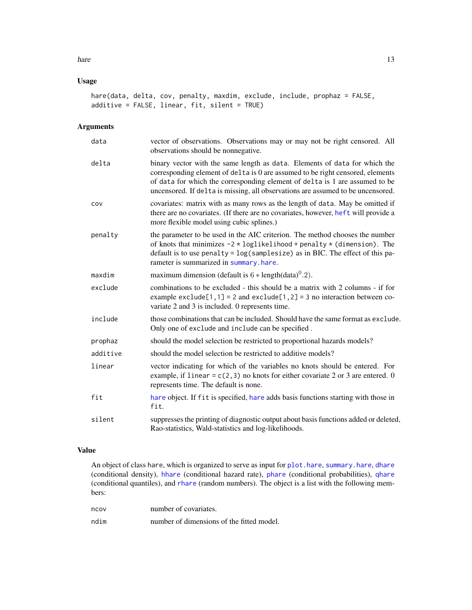# <span id="page-12-0"></span>Usage

```
hare(data, delta, cov, penalty, maxdim, exclude, include, prophaz = FALSE,
additive = FALSE, linear, fit, silent = TRUE)
```
# Arguments

| data     | vector of observations. Observations may or may not be right censored. All<br>observations should be nonnegative.                                                                                                                                                                                                              |
|----------|--------------------------------------------------------------------------------------------------------------------------------------------------------------------------------------------------------------------------------------------------------------------------------------------------------------------------------|
| delta    | binary vector with the same length as data. Elements of data for which the<br>corresponding element of delta is 0 are assumed to be right censored, elements<br>of data for which the corresponding element of delta is 1 are assumed to be<br>uncensored. If delta is missing, all observations are assumed to be uncensored. |
| COV      | covariates: matrix with as many rows as the length of data. May be omitted if<br>there are no covariates. (If there are no covariates, however, heft will provide a<br>more flexible model using cubic splines.)                                                                                                               |
| penalty  | the parameter to be used in the AIC criterion. The method chooses the number<br>of knots that minimizes $-2 \times \text{loglikelihood} + \text{penalty} \times (\text{dimension})$ . The<br>default is to use penalty = $log(samplesize)$ as in BIC. The effect of this pa-<br>rameter is summarized in summary.hare.         |
| maxdim   | maximum dimension (default is $6 * length(data)^{0}.2$ ).                                                                                                                                                                                                                                                                      |
| exclude  | combinations to be excluded - this should be a matrix with 2 columns - if for<br>example exclude [1,1] = 2 and exclude [1,2] = 3 no interaction between co-<br>variate 2 and 3 is included. 0 represents time.                                                                                                                 |
| include  | those combinations that can be included. Should have the same format as exclude.<br>Only one of exclude and include can be specified.                                                                                                                                                                                          |
| prophaz  | should the model selection be restricted to proportional hazards models?                                                                                                                                                                                                                                                       |
| additive | should the model selection be restricted to additive models?                                                                                                                                                                                                                                                                   |
| linear   | vector indicating for which of the variables no knots should be entered. For<br>example, if linear = $c(2, 3)$ no knots for either covariate 2 or 3 are entered. 0<br>represents time. The default is none.                                                                                                                    |
| fit      | hare object. If fit is specified, hare adds basis functions starting with those in<br>fit.                                                                                                                                                                                                                                     |
| silent   | suppresses the printing of diagnostic output about basis functions added or deleted,<br>Rao-statistics, Wald-statistics and log-likelihoods.                                                                                                                                                                                   |

# Value

An object of class hare, which is organized to serve as input for plot. hare, summary. hare, [dhare](#page-6-1) (conditional density), [hhare](#page-6-2) (conditional hazard rate), [phare](#page-6-2) (conditional probabilities), [qhare](#page-6-2) (conditional quantiles), and [rhare](#page-6-2) (random numbers). The object is a list with the following members:

| ncov | number of covariates.                     |
|------|-------------------------------------------|
| ndim | number of dimensions of the fitted model. |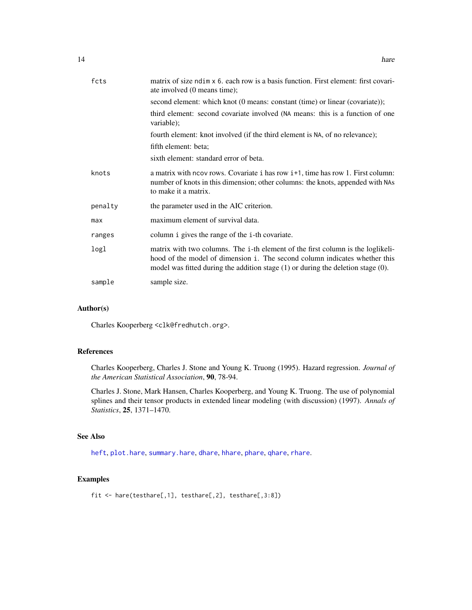<span id="page-13-0"></span>

| fcts    | matrix of size ndim x 6, each row is a basis function. First element: first covari-<br>ate involved (0 means time);                                                                                                                                    |
|---------|--------------------------------------------------------------------------------------------------------------------------------------------------------------------------------------------------------------------------------------------------------|
|         | second element: which knot (0 means: constant (time) or linear (covariate));                                                                                                                                                                           |
|         | third element: second covariate involved (NA means: this is a function of one<br>variable);                                                                                                                                                            |
|         | fourth element: knot involved (if the third element is NA, of no relevance);                                                                                                                                                                           |
|         | fifth element: beta;                                                                                                                                                                                                                                   |
|         | sixth element: standard error of beta.                                                                                                                                                                                                                 |
| knots   | a matrix with neov rows. Covariate i has row i <sup>+1</sup> , time has row 1. First column:<br>number of knots in this dimension; other columns: the knots, appended with NAs<br>to make it a matrix.                                                 |
| penalty | the parameter used in the AIC criterion.                                                                                                                                                                                                               |
| max     | maximum element of survival data.                                                                                                                                                                                                                      |
| ranges  | column i gives the range of the i-th covariate.                                                                                                                                                                                                        |
| logl    | matrix with two columns. The i-th element of the first column is the loglikeli-<br>hood of the model of dimension i. The second column indicates whether this<br>model was fitted during the addition stage $(1)$ or during the deletion stage $(0)$ . |
| sample  | sample size.                                                                                                                                                                                                                                           |

# Author(s)

Charles Kooperberg <clk@fredhutch.org>.

# References

Charles Kooperberg, Charles J. Stone and Young K. Truong (1995). Hazard regression. *Journal of the American Statistical Association*, 90, 78-94.

Charles J. Stone, Mark Hansen, Charles Kooperberg, and Young K. Truong. The use of polynomial splines and their tensor products in extended linear modeling (with discussion) (1997). *Annals of Statistics*, 25, 1371–1470.

# See Also

[heft](#page-14-1), [plot.hare](#page-25-1), [summary.hare](#page-43-1), [dhare](#page-6-1), [hhare](#page-6-2), [phare](#page-6-2), [qhare](#page-6-2), [rhare](#page-6-2).

# Examples

fit <- hare(testhare[,1], testhare[,2], testhare[,3:8])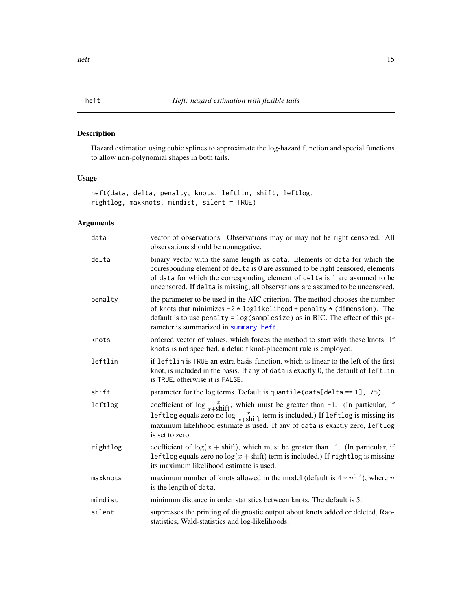# <span id="page-14-1"></span><span id="page-14-0"></span>Description

Hazard estimation using cubic splines to approximate the log-hazard function and special functions to allow non-polynomial shapes in both tails.

# Usage

```
heft(data, delta, penalty, knots, leftlin, shift, leftlog,
rightlog, maxknots, mindist, silent = TRUE)
```

| data     | vector of observations. Observations may or may not be right censored. All<br>observations should be nonnegative.                                                                                                                                                                                                              |
|----------|--------------------------------------------------------------------------------------------------------------------------------------------------------------------------------------------------------------------------------------------------------------------------------------------------------------------------------|
| delta    | binary vector with the same length as data. Elements of data for which the<br>corresponding element of delta is 0 are assumed to be right censored, elements<br>of data for which the corresponding element of delta is 1 are assumed to be<br>uncensored. If delta is missing, all observations are assumed to be uncensored. |
| penalty  | the parameter to be used in the AIC criterion. The method chooses the number<br>of knots that minimizes $-2 \times \text{loglikelihood} + \text{penalty} \times (\text{dimension})$ . The<br>default is to use penalty = $log(samplesize)$ as in BIC. The effect of this pa-<br>rameter is summarized in summary.heft.         |
| knots    | ordered vector of values, which forces the method to start with these knots. If<br>knots is not specified, a default knot-placement rule is employed.                                                                                                                                                                          |
| leftlin  | if leftlin is TRUE an extra basis-function, which is linear to the left of the first<br>knot, is included in the basis. If any of data is exactly 0, the default of leftlin<br>is TRUE, otherwise it is FALSE.                                                                                                                 |
| shift    | parameter for the log terms. Default is quantile $(data[delta == 1], .75)$ .                                                                                                                                                                                                                                                   |
| leftlog  | coefficient of $\log \frac{x}{x + shift}$ , which must be greater than -1. (In particular, if<br>leftlog equals zero no log $\frac{x}{x + shift}$ term is included.) If leftlog is missing its<br>maximum likelihood estimate is used. If any of data is exactly zero, leftlog<br>is set to zero.                              |
| rightlog | coefficient of $log(x + shift)$ , which must be greater than -1. (In particular, if<br>leftlog equals zero no $log(x + shift)$ term is included.) If rightlog is missing<br>its maximum likelihood estimate is used.                                                                                                           |
| maxknots | maximum number of knots allowed in the model (default is $4 * n^{0.2}$ ), where n<br>is the length of data.                                                                                                                                                                                                                    |
| mindist  | minimum distance in order statistics between knots. The default is 5.                                                                                                                                                                                                                                                          |
| silent   | suppresses the printing of diagnostic output about knots added or deleted, Rao-<br>statistics, Wald-statistics and log-likelihoods.                                                                                                                                                                                            |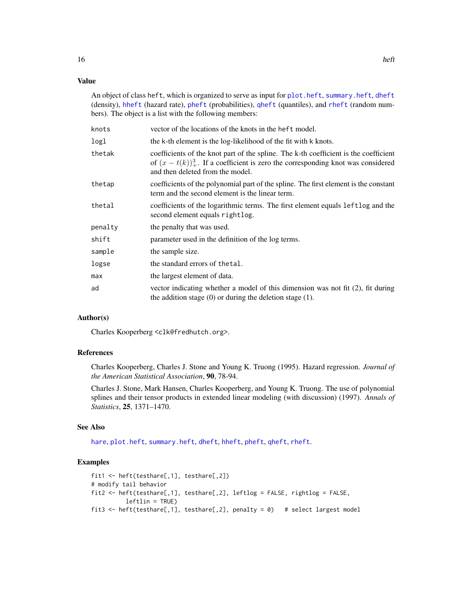# <span id="page-15-0"></span>Value

An object of class heft, which is organized to serve as input for [plot.heft](#page-26-1), [summary.heft](#page-44-1), [dheft](#page-8-1) (density), [hheft](#page-8-2) (hazard rate), [pheft](#page-8-2) (probabilities), [qheft](#page-8-2) (quantiles), and [rheft](#page-8-2) (random numbers). The object is a list with the following members:

| knots   | vector of the locations of the knots in the heft model.                                                                                                                                                              |
|---------|----------------------------------------------------------------------------------------------------------------------------------------------------------------------------------------------------------------------|
| logl    | the k-th element is the log-likelihood of the fit with k knots.                                                                                                                                                      |
| thetak  | coefficients of the knot part of the spline. The k-th coefficient is the coefficient<br>of $(x - t(k))_{+}^{3}$ . If a coefficient is zero the corresponding knot was considered<br>and then deleted from the model. |
| thetap  | coefficients of the polynomial part of the spline. The first element is the constant<br>term and the second element is the linear term.                                                                              |
| thetal  | coefficients of the logarithmic terms. The first element equals leftlog and the<br>second element equals rightlog.                                                                                                   |
| penalty | the penalty that was used.                                                                                                                                                                                           |
| shift   | parameter used in the definition of the log terms.                                                                                                                                                                   |
| sample  | the sample size.                                                                                                                                                                                                     |
| logse   | the standard errors of the tal.                                                                                                                                                                                      |
| max     | the largest element of data.                                                                                                                                                                                         |
| ad      | vector indicating whether a model of this dimension was not fit $(2)$ , fit during<br>the addition stage $(0)$ or during the deletion stage $(1)$ .                                                                  |

# Author(s)

Charles Kooperberg <clk@fredhutch.org>.

#### References

Charles Kooperberg, Charles J. Stone and Young K. Truong (1995). Hazard regression. *Journal of the American Statistical Association*, 90, 78-94.

Charles J. Stone, Mark Hansen, Charles Kooperberg, and Young K. Truong. The use of polynomial splines and their tensor products in extended linear modeling (with discussion) (1997). *Annals of Statistics*, 25, 1371–1470.

# See Also

[hare](#page-11-1), [plot.heft](#page-26-1), [summary.heft](#page-44-1), [dheft](#page-8-1), [hheft](#page-8-2), [pheft](#page-8-2), [qheft](#page-8-2), [rheft](#page-8-2).

# Examples

```
fit1 <- heft(testhare[,1], testhare[,2])
# modify tail behavior
fit2 <- heft(testhare[,1], testhare[,2], leftlog = FALSE, rightlog = FALSE,
          leftlin = TRUE)
fit3 <- heft(testhare[,1], testhare[,2], penalty = \emptyset) # select largest model
```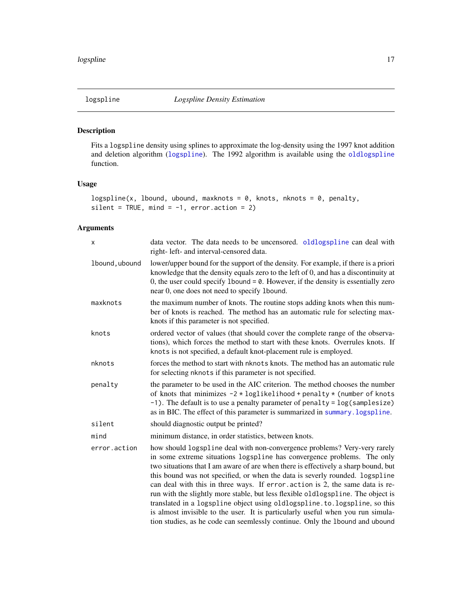<span id="page-16-1"></span><span id="page-16-0"></span>

# Description

Fits a logspline density using splines to approximate the log-density using the 1997 knot addition and deletion algorithm ([logspline](#page-16-1)). The 1992 algorithm is available using the [oldlogspline](#page-20-1) function.

# Usage

```
logspline(x, lbound, ubound, maxknots = 0, knots, nknots = 0, penalty,
silent = TRUE, mind = -1, error.action = 2)
```

| X              | data vector. The data needs to be uncensored. oldlogspline can deal with<br>right- left- and interval-censored data.                                                                                                                                                                                                                                                                                                                                                                                                                                                                                                                                                                                                                             |
|----------------|--------------------------------------------------------------------------------------------------------------------------------------------------------------------------------------------------------------------------------------------------------------------------------------------------------------------------------------------------------------------------------------------------------------------------------------------------------------------------------------------------------------------------------------------------------------------------------------------------------------------------------------------------------------------------------------------------------------------------------------------------|
| 1bound, ubound | lower/upper bound for the support of the density. For example, if there is a priori<br>knowledge that the density equals zero to the left of 0, and has a discontinuity at<br>0, the user could specify 1 bound $= 0$ . However, if the density is essentially zero<br>near 0, one does not need to specify 1 bound.                                                                                                                                                                                                                                                                                                                                                                                                                             |
| maxknots       | the maximum number of knots. The routine stops adding knots when this num-<br>ber of knots is reached. The method has an automatic rule for selecting max-<br>knots if this parameter is not specified.                                                                                                                                                                                                                                                                                                                                                                                                                                                                                                                                          |
| knots          | ordered vector of values (that should cover the complete range of the observa-<br>tions), which forces the method to start with these knots. Overrules knots. If<br>knots is not specified, a default knot-placement rule is employed.                                                                                                                                                                                                                                                                                                                                                                                                                                                                                                           |
| nknots         | forces the method to start with nknots knots. The method has an automatic rule<br>for selecting nknots if this parameter is not specified.                                                                                                                                                                                                                                                                                                                                                                                                                                                                                                                                                                                                       |
| penalty        | the parameter to be used in the AIC criterion. The method chooses the number<br>of knots that minimizes $-2 * loglikelihood + penalty * (number of knots)$<br>$-1$ ). The default is to use a penalty parameter of penalty = $log(sampling size)$<br>as in BIC. The effect of this parameter is summarized in summary. logspline.                                                                                                                                                                                                                                                                                                                                                                                                                |
| silent         | should diagnostic output be printed?                                                                                                                                                                                                                                                                                                                                                                                                                                                                                                                                                                                                                                                                                                             |
| mind           | minimum distance, in order statistics, between knots.                                                                                                                                                                                                                                                                                                                                                                                                                                                                                                                                                                                                                                                                                            |
| error.action   | how should logspline deal with non-convergence problems? Very-very rarely<br>in some extreme situations logspline has convergence problems. The only<br>two situations that I am aware of are when there is effectively a sharp bound, but<br>this bound was not specified, or when the data is severly rounded. Logspline<br>can deal with this in three ways. If error action is 2, the same data is re-<br>run with the slightly more stable, but less flexible oldlogspline. The object is<br>translated in a logspline object using oldlogspline. to. logspline, so this<br>is almost invisible to the user. It is particularly useful when you run simula-<br>tion studies, as he code can seemlessly continue. Only the 1bound and ubound |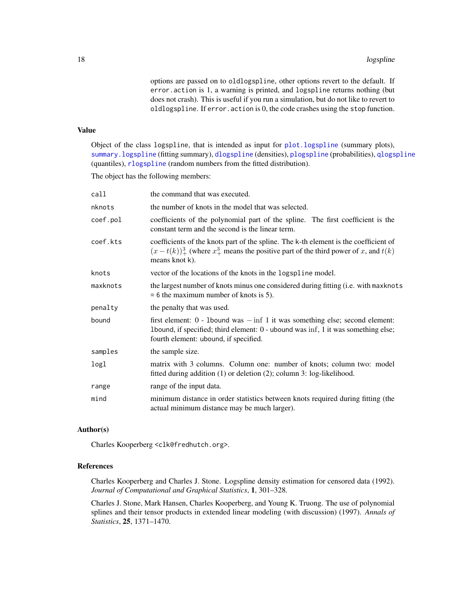options are passed on to oldlogspline, other options revert to the default. If error.action is 1, a warning is printed, and logspline returns nothing (but does not crash). This is useful if you run a simulation, but do not like to revert to oldlogspline. If error.action is 0, the code crashes using the stop function.

#### <span id="page-17-0"></span>Value

Object of the class logspline, that is intended as input for [plot.logspline](#page-28-1) (summary plots), [summary.logspline](#page-46-1) (fitting summary), [dlogspline](#page-9-1) (densities), [plogspline](#page-9-2) (probabilities), [qlogspline](#page-9-2) (quantiles), [rlogspline](#page-9-2) (random numbers from the fitted distribution).

The object has the following members:

| call     | the command that was executed.                                                                                                                                                                                 |
|----------|----------------------------------------------------------------------------------------------------------------------------------------------------------------------------------------------------------------|
| nknots   | the number of knots in the model that was selected.                                                                                                                                                            |
| coef.pol | coefficients of the polynomial part of the spline. The first coefficient is the<br>constant term and the second is the linear term.                                                                            |
| coef.kts | coefficients of the knots part of the spline. The k-th element is the coefficient of<br>$(x-t(k))_{+}^{3}$ (where $x_{+}^{3}$ means the positive part of the third power of x, and $t(k)$ )<br>means knot k).  |
| knots    | vector of the locations of the knots in the logspline model.                                                                                                                                                   |
| maxknots | the largest number of knots minus one considered during fitting (i.e. with maxknots<br>$= 6$ the maximum number of knots is 5).                                                                                |
| penalty  | the penalty that was used.                                                                                                                                                                                     |
| bound    | first element: $0$ - 1bound was $-\inf 1$ it was something else; second element:<br>1bound, if specified; third element: 0 - ubound was inf, 1 it was something else;<br>fourth element: ubound, if specified. |
| samples  | the sample size.                                                                                                                                                                                               |
| logl     | matrix with 3 columns. Column one: number of knots; column two: model<br>fitted during addition (1) or deletion (2); column 3: log-likelihood.                                                                 |
| range    | range of the input data.                                                                                                                                                                                       |
| mind     | minimum distance in order statistics between knots required during fitting (the<br>actual minimum distance may be much larger).                                                                                |

# Author(s)

Charles Kooperberg <clk@fredhutch.org>.

# References

Charles Kooperberg and Charles J. Stone. Logspline density estimation for censored data (1992). *Journal of Computational and Graphical Statistics*, 1, 301–328.

Charles J. Stone, Mark Hansen, Charles Kooperberg, and Young K. Truong. The use of polynomial splines and their tensor products in extended linear modeling (with discussion) (1997). *Annals of Statistics*, 25, 1371–1470.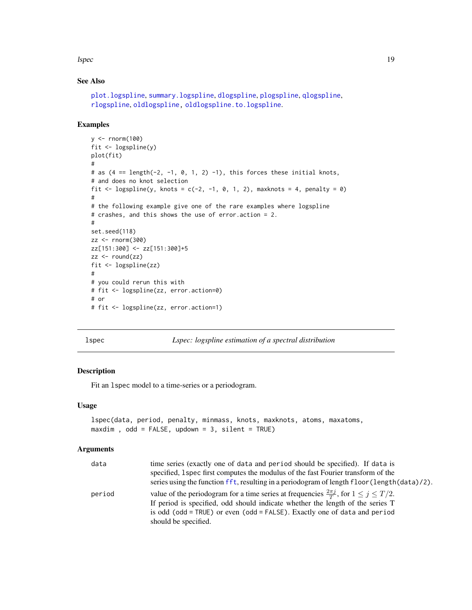<span id="page-18-0"></span>lspec and the state of the state of the state of the state of the state of the state of the state of the state of the state of the state of the state of the state of the state of the state of the state of the state of the

# See Also

```
plot.logspline, summary.logspline, dlogspline, plogspline, qlogspline,
rlogspline, oldlogspline, oldlogspline.to.logspline.
```
#### Examples

```
y <- rnorm(100)
fit <- logspline(y)
plot(fit)
#
# as (4 == length(-2, -1, 0, 1, 2) -1), this forces these initial knots,
# and does no knot selection
fit \leq logspline(y, knots = c(-2, -1, 0, 1, 2), maxknots = 4, penalty = 0)
#
# the following example give one of the rare examples where logspline
# crashes, and this shows the use of error.action = 2.
#
set.seed(118)
zz < - rnorm(300)zz[151:300] <- zz[151:300]+5
zz < - round(zz)
fit <- logspline(zz)
#
# you could rerun this with
# fit <- logspline(zz, error.action=0)
# or
# fit <- logspline(zz, error.action=1)
```
<span id="page-18-1"></span>

lspec *Lspec: logspline estimation of a spectral distribution*

#### Description

Fit an lspec model to a time-series or a periodogram.

#### Usage

```
lspec(data, period, penalty, minmass, knots, maxknots, atoms, maxatoms,
maxdim, odd = FALSE, updown = 3, silent = TRUE)
```

| data   | time series (exactly one of data and period should be specified). If data is                           |
|--------|--------------------------------------------------------------------------------------------------------|
|        | specified, 1 spec first computes the modulus of the fast Fourier transform of the                      |
|        | series using the function fft, resulting in a periodogram of length floor (length (data)/2).           |
| period | value of the periodogram for a time series at frequencies $\frac{2\pi j}{T}$ , for $1 \le j \le T/2$ . |
|        | If period is specified, odd should indicate whether the length of the series T                         |
|        | is odd (odd = TRUE) or even (odd = FALSE). Exactly one of data and period                              |
|        | should be specified.                                                                                   |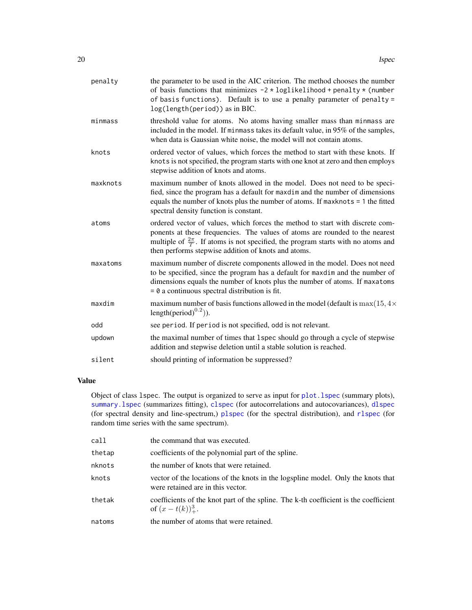<span id="page-19-0"></span>

| penalty  | the parameter to be used in the AIC criterion. The method chooses the number<br>of basis functions that minimizes $-2 * loglikelihood + penalty * (number)$<br>of basis functions). Default is to use a penalty parameter of penalty =<br>log(length(period)) as in BIC.                                               |
|----------|------------------------------------------------------------------------------------------------------------------------------------------------------------------------------------------------------------------------------------------------------------------------------------------------------------------------|
| minmass  | threshold value for atoms. No atoms having smaller mass than minmass are<br>included in the model. If minmass takes its default value, in 95% of the samples,<br>when data is Gaussian white noise, the model will not contain atoms.                                                                                  |
| knots    | ordered vector of values, which forces the method to start with these knots. If<br>knots is not specified, the program starts with one knot at zero and then employs<br>stepwise addition of knots and atoms.                                                                                                          |
| maxknots | maximum number of knots allowed in the model. Does not need to be speci-<br>fied, since the program has a default for maxdim and the number of dimensions<br>equals the number of knots plus the number of atoms. If $maxknots = 1$ the fitted<br>spectral density function is constant.                               |
| atoms    | ordered vector of values, which forces the method to start with discrete com-<br>ponents at these frequencies. The values of atoms are rounded to the nearest<br>multiple of $\frac{2\pi}{T}$ . If atoms is not specified, the program starts with no atoms and<br>then performs stepwise addition of knots and atoms. |
| maxatoms | maximum number of discrete components allowed in the model. Does not need<br>to be specified, since the program has a default for maxdim and the number of<br>dimensions equals the number of knots plus the number of atoms. If maxatoms<br>$= 0$ a continuous spectral distribution is fit.                          |
| maxdim   | maximum number of basis functions allowed in the model (default is $\max(15, 4\times$<br>length(period) $^{0.2}$ )).                                                                                                                                                                                                   |
| odd      | see period. If period is not specified, odd is not relevant.                                                                                                                                                                                                                                                           |
| updown   | the maximal number of times that 1 spec should go through a cycle of stepwise<br>addition and stepwise deletion until a stable solution is reached.                                                                                                                                                                    |
| silent   | should printing of information be suppressed?                                                                                                                                                                                                                                                                          |

# Value

Object of class lspec. The output is organized to serve as input for [plot.lspec](#page-29-1) (summary plots), summary. 1spec (summarizes fitting), c1spec (for autocorrelations and autocovariances), d1spec (for spectral density and line-spectrum,) [plspec](#page-2-2) (for the spectral distribution), and [rlspec](#page-2-2) (for random time series with the same spectrum).

| call   | the command that was executed.                                                                                        |
|--------|-----------------------------------------------------------------------------------------------------------------------|
| thetap | coefficients of the polynomial part of the spline.                                                                    |
| nknots | the number of knots that were retained.                                                                               |
| knots  | vector of the locations of the knots in the logspline model. Only the knots that<br>were retained are in this vector. |
| thetak | coefficients of the knot part of the spline. The k-th coefficient is the coefficient<br>of $(x-t(k))_{+}^{3}$ .       |
| natoms | the number of atoms that were retained.                                                                               |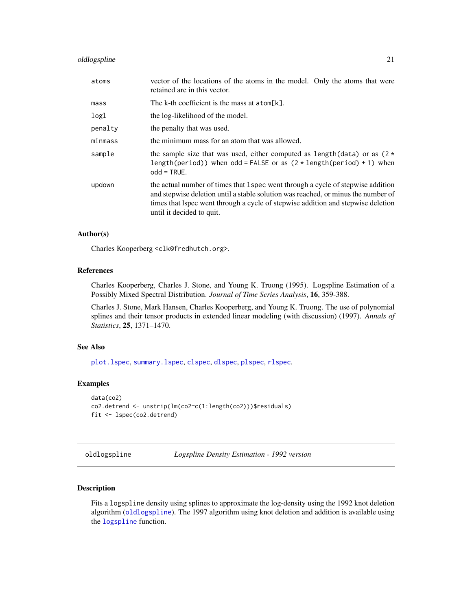# <span id="page-20-0"></span>oldlogspline 21

| atoms   | vector of the locations of the atoms in the model. Only the atoms that were<br>retained are in this vector.                                                                                                                                                                            |
|---------|----------------------------------------------------------------------------------------------------------------------------------------------------------------------------------------------------------------------------------------------------------------------------------------|
| mass    | The k-th coefficient is the mass at $atom[k]$ .                                                                                                                                                                                                                                        |
| logl    | the log-likelihood of the model.                                                                                                                                                                                                                                                       |
| penalty | the penalty that was used.                                                                                                                                                                                                                                                             |
| minmass | the minimum mass for an atom that was allowed.                                                                                                                                                                                                                                         |
| sample  | the sample size that was used, either computed as length(data) or as $(2 \star$<br>length(period)) when odd = FALSE or as $(2 \times \text{length}(\text{period}) + 1)$ when<br>$odd = TRUE.$                                                                                          |
| updown  | the actual number of times that 1 spec went through a cycle of stepwise addition<br>and stepwise deletion until a stable solution was reached, or minus the number of<br>times that Ispec went through a cycle of stepwise addition and stepwise deletion<br>until it decided to quit. |

# Author(s)

Charles Kooperberg <clk@fredhutch.org>.

#### References

Charles Kooperberg, Charles J. Stone, and Young K. Truong (1995). Logspline Estimation of a Possibly Mixed Spectral Distribution. *Journal of Time Series Analysis*, 16, 359-388.

Charles J. Stone, Mark Hansen, Charles Kooperberg, and Young K. Truong. The use of polynomial splines and their tensor products in extended linear modeling (with discussion) (1997). *Annals of Statistics*, 25, 1371–1470.

# See Also

[plot.lspec](#page-29-1), [summary.lspec](#page-47-1), [clspec](#page-2-1), [dlspec](#page-2-2), [plspec](#page-2-2), [rlspec](#page-2-2).

#### Examples

```
data(co2)
co2.detrend <- unstrip(lm(co2~c(1:length(co2)))$residuals)
fit <- lspec(co2.detrend)
```
<span id="page-20-1"></span>oldlogspline *Logspline Density Estimation - 1992 version*

## Description

Fits a logspline density using splines to approximate the log-density using the 1992 knot deletion algorithm ([oldlogspline](#page-20-1)). The 1997 algorithm using knot deletion and addition is available using the [logspline](#page-16-1) function.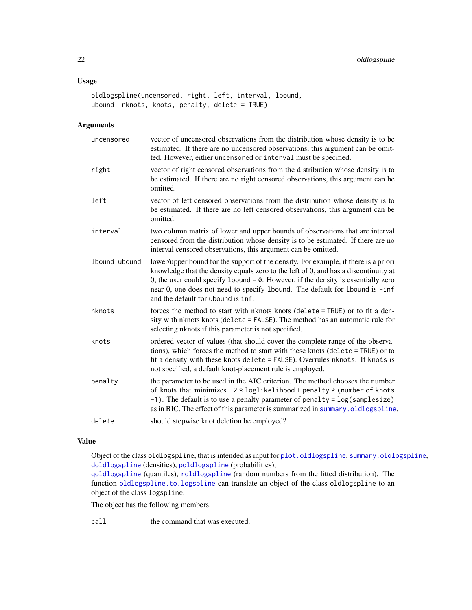# <span id="page-21-0"></span>Usage

```
oldlogspline(uncensored, right, left, interval, lbound,
ubound, nknots, knots, penalty, delete = TRUE)
```
# Arguments

| uncensored     | vector of uncensored observations from the distribution whose density is to be<br>estimated. If there are no uncensored observations, this argument can be omit-<br>ted. However, either uncensored or interval must be specified.                                                                                                                                                       |
|----------------|------------------------------------------------------------------------------------------------------------------------------------------------------------------------------------------------------------------------------------------------------------------------------------------------------------------------------------------------------------------------------------------|
| right          | vector of right censored observations from the distribution whose density is to<br>be estimated. If there are no right censored observations, this argument can be<br>omitted.                                                                                                                                                                                                           |
| left           | vector of left censored observations from the distribution whose density is to<br>be estimated. If there are no left censored observations, this argument can be<br>omitted.                                                                                                                                                                                                             |
| interval       | two column matrix of lower and upper bounds of observations that are interval<br>censored from the distribution whose density is to be estimated. If there are no<br>interval censored observations, this argument can be omitted.                                                                                                                                                       |
| 1bound, ubound | lower/upper bound for the support of the density. For example, if there is a priori<br>knowledge that the density equals zero to the left of 0, and has a discontinuity at<br>0, the user could specify 1 bound $= 0$ . However, if the density is essentially zero<br>near 0, one does not need to specify 1bound. The default for 1bound is -inf<br>and the default for ubound is inf. |
| nknots         | forces the method to start with nknots knots (delete = TRUE) or to fit a den-<br>sity with nknots knots (delete = FALSE). The method has an automatic rule for<br>selecting nknots if this parameter is not specified.                                                                                                                                                                   |
| knots          | ordered vector of values (that should cover the complete range of the observa-<br>tions), which forces the method to start with these knots (delete = TRUE) or to<br>fit a density with these knots delete = FALSE). Overrules nknots. If knots is<br>not specified, a default knot-placement rule is employed.                                                                          |
| penalty        | the parameter to be used in the AIC criterion. The method chooses the number<br>of knots that minimizes $-2 * loglikelihood + penalty * (number of knots)$<br>$-1$ ). The default is to use a penalty parameter of penalty = $log(sampling size)$<br>as in BIC. The effect of this parameter is summarized in summary. oldlogspline.                                                     |
| delete         | should stepwise knot deletion be employed?                                                                                                                                                                                                                                                                                                                                               |

# Value

Object of the class oldlogspline, that is intended as input for [plot.oldlogspline](#page-30-1), [summary.oldlogspline](#page-48-1), [doldlogspline](#page-10-1) (densities), [poldlogspline](#page-10-2) (probabilities),

[qoldlogspline](#page-10-2) (quantiles), [roldlogspline](#page-10-2) (random numbers from the fitted distribution). The function [oldlogspline.to.logspline](#page-23-1) can translate an object of the class oldlogspline to an object of the class logspline.

The object has the following members:

call the command that was executed.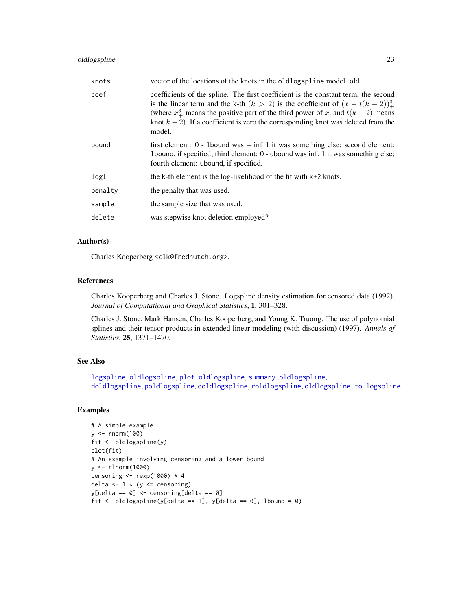# <span id="page-22-0"></span>oldlogspline 23

| knots   | vector of the locations of the knots in the oldlogspline model, old                                                                                                                                                                                                                                                                                                |
|---------|--------------------------------------------------------------------------------------------------------------------------------------------------------------------------------------------------------------------------------------------------------------------------------------------------------------------------------------------------------------------|
| coef    | coefficients of the spline. The first coefficient is the constant term, the second<br>is the linear term and the k-th $(k > 2)$ is the coefficient of $(x - t(k-2))_{+}^{3}$<br>(where $x^3_+$ means the positive part of the third power of x, and $t(k-2)$ means<br>knot $k-2$ ). If a coefficient is zero the corresponding knot was deleted from the<br>model. |
| bound   | first element: $0$ - 1 bound was $-\inf 1$ it was something else; second element:<br>1 I albound, if specified; third element: 0 - ubound was inf, 1 it was something else;<br>fourth element: ubound, if specified.                                                                                                                                               |
| logl    | the $k$ -th element is the log-likelihood of the fit with $k+2$ knots.                                                                                                                                                                                                                                                                                             |
| penalty | the penalty that was used.                                                                                                                                                                                                                                                                                                                                         |
| sample  | the sample size that was used.                                                                                                                                                                                                                                                                                                                                     |
| delete  | was stepwise knot deletion employed?                                                                                                                                                                                                                                                                                                                               |

# Author(s)

Charles Kooperberg <clk@fredhutch.org>.

# References

Charles Kooperberg and Charles J. Stone. Logspline density estimation for censored data (1992). *Journal of Computational and Graphical Statistics*, 1, 301–328.

Charles J. Stone, Mark Hansen, Charles Kooperberg, and Young K. Truong. The use of polynomial splines and their tensor products in extended linear modeling (with discussion) (1997). *Annals of Statistics*, 25, 1371–1470.

# See Also

```
logspline, oldlogspline, plot.oldlogspline, summary.oldlogspline,
doldlogspline, poldlogspline, qoldlogspline, roldlogspline, oldlogspline.to.logspline.
```
#### Examples

```
# A simple example
y <- rnorm(100)
fit <- oldlogspline(y)
plot(fit)
# An example involving censoring and a lower bound
y <- rlnorm(1000)
censoring \leq rexp(1000) \star 4
delta \leftarrow 1 \star (y \leftarrow censoring)
y[delta == 0] <- censoring[delta == 0]
fit \le oldlogspline(y[delta == 1], y[delta == 0], lbound = 0)
```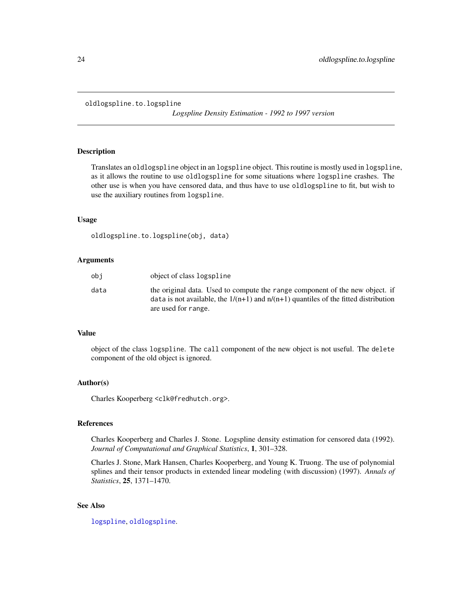#### <span id="page-23-1"></span><span id="page-23-0"></span>oldlogspline.to.logspline

*Logspline Density Estimation - 1992 to 1997 version*

# Description

Translates an oldlogspline object in an logspline object. This routine is mostly used in logspline, as it allows the routine to use oldlogspline for some situations where logspline crashes. The other use is when you have censored data, and thus have to use oldlogspline to fit, but wish to use the auxiliary routines from logspline.

#### Usage

oldlogspline.to.logspline(obj, data)

# Arguments

| obi  | object of class logspline                                                                                                                                                                      |
|------|------------------------------------------------------------------------------------------------------------------------------------------------------------------------------------------------|
| data | the original data. Used to compute the range component of the new object. if<br>data is not available, the $1/(n+1)$ and $n/(n+1)$ quantiles of the fitted distribution<br>are used for range. |

#### Value

object of the class logspline. The call component of the new object is not useful. The delete component of the old object is ignored.

#### Author(s)

Charles Kooperberg <clk@fredhutch.org>.

# References

Charles Kooperberg and Charles J. Stone. Logspline density estimation for censored data (1992). *Journal of Computational and Graphical Statistics*, 1, 301–328.

Charles J. Stone, Mark Hansen, Charles Kooperberg, and Young K. Truong. The use of polynomial splines and their tensor products in extended linear modeling (with discussion) (1997). *Annals of Statistics*, 25, 1371–1470.

#### See Also

[logspline](#page-16-1), [oldlogspline](#page-20-1).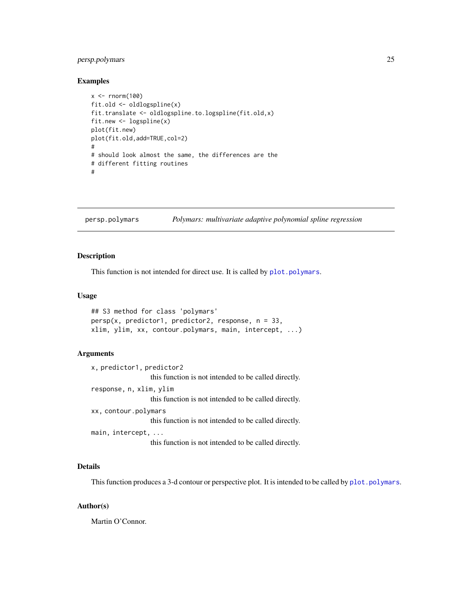# <span id="page-24-0"></span>persp.polymars 25

#### Examples

```
x \le - rnorm(100)fit.old <- oldlogspline(x)
fit.translate <- oldlogspline.to.logspline(fit.old,x)
fit.new <- logspline(x)
plot(fit.new)
plot(fit.old,add=TRUE,col=2)
#
# should look almost the same, the differences are the
# different fitting routines
#
```
<span id="page-24-1"></span>persp.polymars *Polymars: multivariate adaptive polynomial spline regression*

#### Description

This function is not intended for direct use. It is called by  $plot.polymars$ .

#### Usage

```
## S3 method for class 'polymars'
persp(x, predictor1, predictor2, response, n = 33,xlim, ylim, xx, contour.polymars, main, intercept, ...)
```
#### Arguments

x, predictor1, predictor2 this function is not intended to be called directly. response, n, xlim, ylim this function is not intended to be called directly. xx, contour.polymars this function is not intended to be called directly. main, intercept, ... this function is not intended to be called directly.

# Details

This function produces a 3-d contour or perspective plot. It is intended to be called by [plot.polymars](#page-33-1).

#### Author(s)

Martin O'Connor.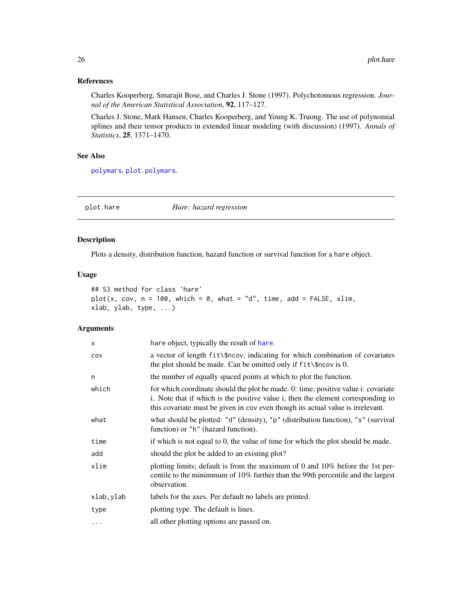# <span id="page-25-0"></span>References

Charles Kooperberg, Smarajit Bose, and Charles J. Stone (1997). Polychotomous regression. *Journal of the American Statistical Association*, 92, 117–127.

Charles J. Stone, Mark Hansen, Charles Kooperberg, and Young K. Truong. The use of polynomial splines and their tensor products in extended linear modeling (with discussion) (1997). *Annals of Statistics*, 25, 1371–1470.

#### See Also

[polymars](#page-38-1), [plot.polymars](#page-33-1).

<span id="page-25-1"></span>plot.hare *Hare: hazard regression*

#### Description

Plots a density, distribution function, hazard function or survival function for a hare object.

# Usage

```
## S3 method for class 'hare'
plot(x, cov, n = 100, which = 0, what = "d", time, add = FALSE, xlim,
xlab, ylab, type, ...)
```

| $\times$  | hare object, typically the result of hare.                                                                                                                                                                                                                |
|-----------|-----------------------------------------------------------------------------------------------------------------------------------------------------------------------------------------------------------------------------------------------------------|
| COV       | a vector of length fit \\\$ncov, indicating for which combination of covariates<br>the plot should be made. Can be omitted only if fit \\$ncov is 0.                                                                                                      |
| n         | the number of equally spaced points at which to plot the function.                                                                                                                                                                                        |
| which     | for which coordinate should the plot be made. 0: time; positive value i: covariate<br>i. Note that if which is the positive value i, then the element corresponding to<br>this covariate must be given in cov even though its actual value is irrelevant. |
| what      | what should be plotted: "d" (density), "p" (distribution function), "s" (survival<br>function) or "h" (hazard function).                                                                                                                                  |
| time      | if which is not equal to 0, the value of time for which the plot should be made.                                                                                                                                                                          |
| add       | should the plot be added to an existing plot?                                                                                                                                                                                                             |
| xlim      | plotting limits; default is from the maximum of 0 and 10% before the 1st per-<br>centile to the minimmum of $10\%$ further than the 99th percentile and the largest<br>observation.                                                                       |
| xlab,ylab | labels for the axes. Per default no labels are printed.                                                                                                                                                                                                   |
| type      | plotting type. The default is lines.                                                                                                                                                                                                                      |
| $\ddotsc$ | all other plotting options are passed on.                                                                                                                                                                                                                 |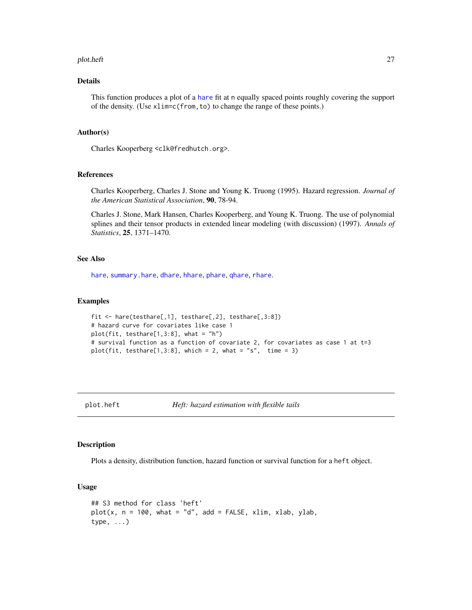#### <span id="page-26-0"></span>plot.heft 27

# Details

This function produces a plot of a [hare](#page-11-1) fit at n equally spaced points roughly covering the support of the density. (Use xlim=c(from,to) to change the range of these points.)

#### Author(s)

Charles Kooperberg <clk@fredhutch.org>.

#### References

Charles Kooperberg, Charles J. Stone and Young K. Truong (1995). Hazard regression. *Journal of the American Statistical Association*, 90, 78-94.

Charles J. Stone, Mark Hansen, Charles Kooperberg, and Young K. Truong. The use of polynomial splines and their tensor products in extended linear modeling (with discussion) (1997). *Annals of Statistics*, 25, 1371–1470.

# See Also

[hare](#page-11-1), [summary.hare](#page-43-1), [dhare](#page-6-1), [hhare](#page-6-2), [phare](#page-6-2), [qhare](#page-6-2), [rhare](#page-6-2).

# Examples

```
fit <- hare(testhare[,1], testhare[,2], testhare[,3:8])
# hazard curve for covariates like case 1
plot(fit, testhare[1,3:8], what = "h")
# survival function as a function of covariate 2, for covariates as case 1 at t=3
plot(fit, testhare[1,3:8], which = 2, what = "s", time = 3)
```
<span id="page-26-1"></span>

plot.heft *Heft: hazard estimation with flexible tails*

# Description

Plots a density, distribution function, hazard function or survival function for a heft object.

#### Usage

```
## S3 method for class 'heft'
plot(x, n = 100, what = "d", add = FALSE, xlim, xlab, ylab,type, ...)
```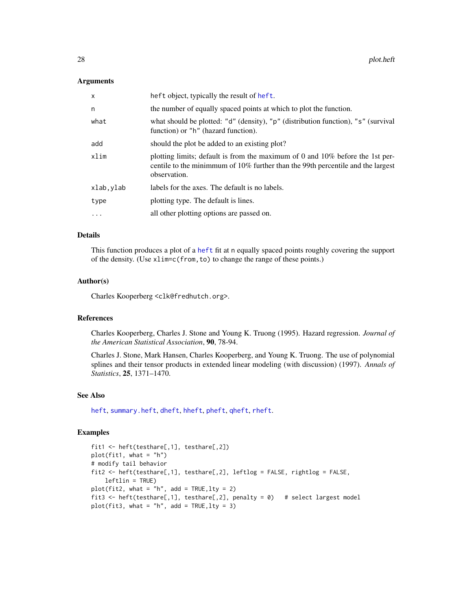#### <span id="page-27-0"></span>Arguments

| $\times$   | heft object, typically the result of heft.                                                                                                                                             |
|------------|----------------------------------------------------------------------------------------------------------------------------------------------------------------------------------------|
| n          | the number of equally spaced points at which to plot the function.                                                                                                                     |
| what       | what should be plotted: "d" (density), "p" (distribution function), "s" (survival<br>function) or "h" (hazard function).                                                               |
| add        | should the plot be added to an existing plot?                                                                                                                                          |
| xlim       | plotting limits; default is from the maximum of 0 and $10\%$ before the 1st per-<br>centile to the minimmum of $10\%$ further than the 99th percentile and the largest<br>observation. |
| xlab, ylab | labels for the axes. The default is no labels.                                                                                                                                         |
| type       | plotting type. The default is lines.                                                                                                                                                   |
| .          | all other plotting options are passed on.                                                                                                                                              |
|            |                                                                                                                                                                                        |

# Details

This function produces a plot of a [heft](#page-14-1) fit at n equally spaced points roughly covering the support of the density. (Use xlim=c(from,to) to change the range of these points.)

# Author(s)

Charles Kooperberg <clk@fredhutch.org>.

# References

Charles Kooperberg, Charles J. Stone and Young K. Truong (1995). Hazard regression. *Journal of the American Statistical Association*, 90, 78-94.

Charles J. Stone, Mark Hansen, Charles Kooperberg, and Young K. Truong. The use of polynomial splines and their tensor products in extended linear modeling (with discussion) (1997). *Annals of Statistics*, 25, 1371–1470.

# See Also

[heft](#page-14-1), [summary.heft](#page-44-1), [dheft](#page-8-1), [hheft](#page-8-2), [pheft](#page-8-2), [qheft](#page-8-2), [rheft](#page-8-2).

#### Examples

```
fit1 <- heft(testhare[,1], testhare[,2])
plot(fit1, what = "h")# modify tail behavior
fit2 <- heft(testhare[,1], testhare[,2], leftlog = FALSE, rightlog = FALSE,
   leftlin = TRUE)
plot(fit2, what = "h", add = TRUE, lty = 2)fit3 <- heft(testhare[,1], testhare[,2], penalty = 0) # select largest model
plot(fit3, what = "h", add = TRUE, lty = 3)
```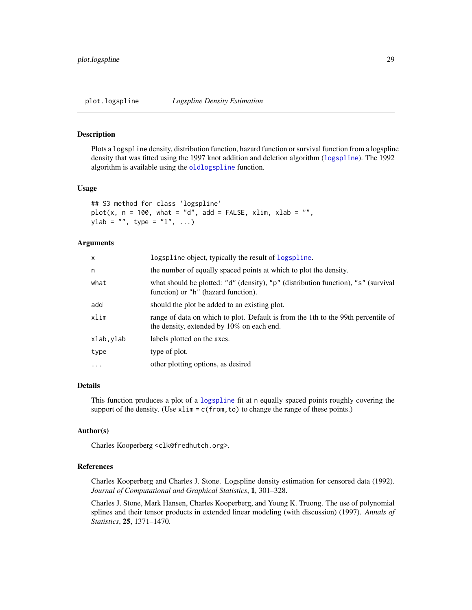#### <span id="page-28-1"></span><span id="page-28-0"></span>Description

Plots a logspline density, distribution function, hazard function or survival function from a logspline density that was fitted using the 1997 knot addition and deletion algorithm ([logspline](#page-16-1)). The 1992 algorithm is available using the [oldlogspline](#page-20-1) function.

#### Usage

```
## S3 method for class 'logspline'
plot(x, n = 100, what = "d", add = FALSE, xlim, xlab = "",ylab = "", type = "l", ...)
```
#### Arguments

| x          | logspline object, typically the result of logspline.                                                                           |
|------------|--------------------------------------------------------------------------------------------------------------------------------|
| n          | the number of equally spaced points at which to plot the density.                                                              |
| what       | what should be plotted: "d" (density), "p" (distribution function), "s" (survival<br>function) or "h" (hazard function).       |
| add        | should the plot be added to an existing plot.                                                                                  |
| xlim       | range of data on which to plot. Default is from the 1th to the 99th percentile of<br>the density, extended by 10% on each end. |
| xlab,ylab  | labels plotted on the axes.                                                                                                    |
| type       | type of plot.                                                                                                                  |
| $\ddots$ . | other plotting options, as desired                                                                                             |
|            |                                                                                                                                |

# Details

This function produces a plot of a [logspline](#page-16-1) fit at n equally spaced points roughly covering the support of the density. (Use  $x \lim = c$  (from, to) to change the range of these points.)

#### Author(s)

Charles Kooperberg <clk@fredhutch.org>.

#### References

Charles Kooperberg and Charles J. Stone. Logspline density estimation for censored data (1992). *Journal of Computational and Graphical Statistics*, 1, 301–328.

Charles J. Stone, Mark Hansen, Charles Kooperberg, and Young K. Truong. The use of polynomial splines and their tensor products in extended linear modeling (with discussion) (1997). *Annals of Statistics*, 25, 1371–1470.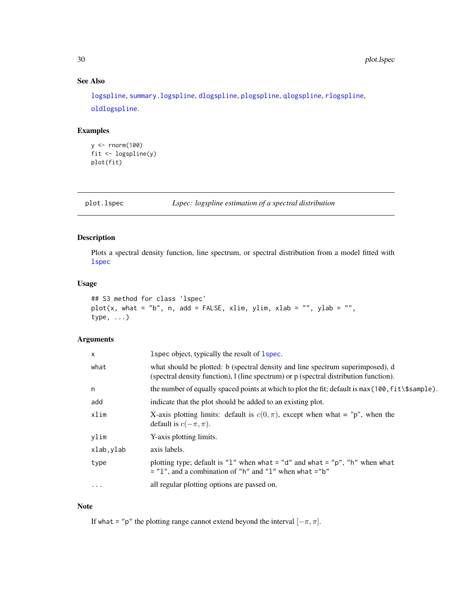# See Also

[logspline](#page-16-1), [summary.logspline](#page-46-1), [dlogspline](#page-9-1), [plogspline](#page-9-2), [qlogspline](#page-9-2), [rlogspline](#page-9-2), [oldlogspline](#page-20-1).

# Examples

```
y <- rnorm(100)
fit <- logspline(y)
plot(fit)
```
<span id="page-29-1"></span>plot.lspec *Lspec: logspline estimation of a spectral distribution*

# Description

Plots a spectral density function, line spectrum, or spectral distribution from a model fitted with [lspec](#page-18-1)

# Usage

```
## S3 method for class 'lspec'
plot(x, what = "b", n, add = FALSE, xlim, ylim, xlab = "", ylab = "",type, ...)
```
# Arguments

| X         | 1 spec object, typically the result of 1 spec.                                                                                                                          |
|-----------|-------------------------------------------------------------------------------------------------------------------------------------------------------------------------|
| what      | what should be plotted: b (spectral density and line spectrum superimposed), d<br>(spectral density function), 1 (line spectrum) or p (spectral distribution function). |
| n         | the number of equally spaced points at which to plot the fit; default is $max(100, fit\$                                                                                |
| add       | indicate that the plot should be added to an existing plot.                                                                                                             |
| xlim      | X-axis plotting limits: default is $c(0, \pi)$ , except when what = "p", when the<br>default is $c(-\pi, \pi)$ .                                                        |
| vlim      | Y-axis plotting limits.                                                                                                                                                 |
| xlab.ylab | axis labels.                                                                                                                                                            |
| type      | plotting type; default is "1" when what = "d" and what = "p", "h" when what<br>$=$ "1", and a combination of "h" and "1" when what $=$ "b"                              |
| $\cdots$  | all regular plotting options are passed on.                                                                                                                             |

#### Note

If what = "p" the plotting range cannot extend beyond the interval  $[-\pi, \pi]$ .

<span id="page-29-0"></span>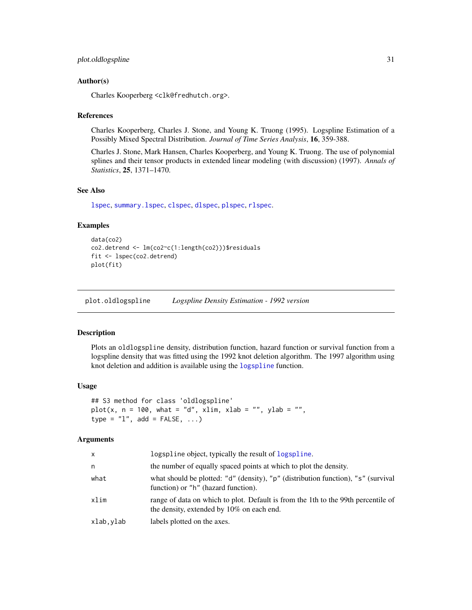#### <span id="page-30-0"></span>Author(s)

Charles Kooperberg <clk@fredhutch.org>.

#### References

Charles Kooperberg, Charles J. Stone, and Young K. Truong (1995). Logspline Estimation of a Possibly Mixed Spectral Distribution. *Journal of Time Series Analysis*, 16, 359-388.

Charles J. Stone, Mark Hansen, Charles Kooperberg, and Young K. Truong. The use of polynomial splines and their tensor products in extended linear modeling (with discussion) (1997). *Annals of Statistics*, 25, 1371–1470.

#### See Also

[lspec](#page-18-1), [summary.lspec](#page-47-1), [clspec](#page-2-1), [dlspec](#page-2-2), [plspec](#page-2-2), [rlspec](#page-2-2).

#### Examples

```
data(co2)
co2.detrend <- lm(co2~c(1:length(co2)))$residuals
fit <- lspec(co2.detrend)
plot(fit)
```
<span id="page-30-1"></span>plot.oldlogspline *Logspline Density Estimation - 1992 version*

#### Description

Plots an oldlogspline density, distribution function, hazard function or survival function from a logspline density that was fitted using the 1992 knot deletion algorithm. The 1997 algorithm using knot deletion and addition is available using the [logspline](#page-16-1) function.

#### Usage

```
## S3 method for class 'oldlogspline'
plot(x, n = 100, what = "d", xlim, xlab = "", ylab = "",type = "1", add = FALSE, ...)
```

| X         | logspline object, typically the result of logspline.                                                                           |
|-----------|--------------------------------------------------------------------------------------------------------------------------------|
| n         | the number of equally spaced points at which to plot the density.                                                              |
| what      | what should be plotted: "d" (density), "p" (distribution function), "s" (survival<br>function) or "h" (hazard function).       |
| xlim      | range of data on which to plot. Default is from the 1th to the 99th percentile of<br>the density, extended by 10% on each end. |
| xlab,ylab | labels plotted on the axes.                                                                                                    |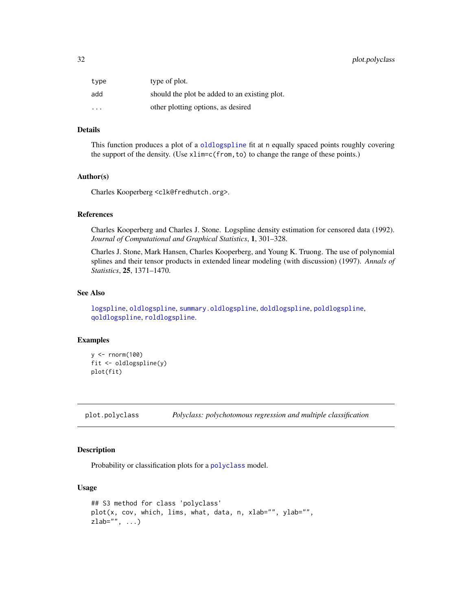# <span id="page-31-0"></span>32 plot.polyclass

| type                    | type of plot.                                 |
|-------------------------|-----------------------------------------------|
| add                     | should the plot be added to an existing plot. |
| $\cdot$ $\cdot$ $\cdot$ | other plotting options, as desired            |

#### Details

This function produces a plot of a [oldlogspline](#page-20-1) fit at n equally spaced points roughly covering the support of the density. (Use xlim=c(from,to) to change the range of these points.)

#### Author(s)

Charles Kooperberg <clk@fredhutch.org>.

#### References

Charles Kooperberg and Charles J. Stone. Logspline density estimation for censored data (1992). *Journal of Computational and Graphical Statistics*, 1, 301–328.

Charles J. Stone, Mark Hansen, Charles Kooperberg, and Young K. Truong. The use of polynomial splines and their tensor products in extended linear modeling (with discussion) (1997). *Annals of Statistics*, 25, 1371–1470.

# See Also

[logspline](#page-16-1), [oldlogspline](#page-20-1), [summary.oldlogspline](#page-48-1), [doldlogspline](#page-10-1), [poldlogspline](#page-10-2), [qoldlogspline](#page-10-2), [roldlogspline](#page-10-2).

# Examples

```
y <- rnorm(100)
fit <- oldlogspline(y)
plot(fit)
```
<span id="page-31-1"></span>plot.polyclass *Polyclass: polychotomous regression and multiple classification*

#### Description

Probability or classification plots for a [polyclass](#page-34-1) model.

#### Usage

```
## S3 method for class 'polyclass'
plot(x, cov, which, lims, what, data, n, xlab="", ylab="",
zlab="", \dots)
```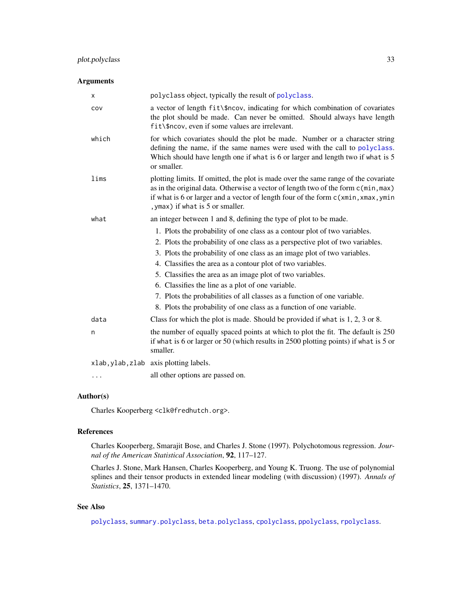#### <span id="page-32-0"></span>Arguments

| Χ     | polyclass object, typically the result of polyclass.                                                                                                                                                                                                                                                                                                                                                                                                                                                                                                                       |
|-------|----------------------------------------------------------------------------------------------------------------------------------------------------------------------------------------------------------------------------------------------------------------------------------------------------------------------------------------------------------------------------------------------------------------------------------------------------------------------------------------------------------------------------------------------------------------------------|
| COV   | a vector of length fit\\$ncov, indicating for which combination of covariates<br>the plot should be made. Can never be omitted. Should always have length<br>fit\\$ncov, even if some values are irrelevant.                                                                                                                                                                                                                                                                                                                                                               |
| which | for which covariates should the plot be made. Number or a character string<br>defining the name, if the same names were used with the call to polyclass.<br>Which should have length one if what is 6 or larger and length two if what is 5<br>or smaller.                                                                                                                                                                                                                                                                                                                 |
| lims  | plotting limits. If omitted, the plot is made over the same range of the covariate<br>as in the original data. Otherwise a vector of length two of the form c(min, max)<br>if what is 6 or larger and a vector of length four of the form c(xmin, xmax, ymin<br>, ymax) if what is 5 or smaller.                                                                                                                                                                                                                                                                           |
| what  | an integer between 1 and 8, defining the type of plot to be made.                                                                                                                                                                                                                                                                                                                                                                                                                                                                                                          |
|       | 1. Plots the probability of one class as a contour plot of two variables.<br>2. Plots the probability of one class as a perspective plot of two variables.<br>3. Plots the probability of one class as an image plot of two variables.<br>4. Classifies the area as a contour plot of two variables.<br>5. Classifies the area as an image plot of two variables.<br>6. Classifies the line as a plot of one variable.<br>7. Plots the probabilities of all classes as a function of one variable.<br>8. Plots the probability of one class as a function of one variable. |
| data  | Class for which the plot is made. Should be provided if what is $1, 2, 3$ or 8.                                                                                                                                                                                                                                                                                                                                                                                                                                                                                            |
| n     | the number of equally spaced points at which to plot the fit. The default is 250<br>if what is 6 or larger or 50 (which results in 2500 plotting points) if what is 5 or<br>smaller.                                                                                                                                                                                                                                                                                                                                                                                       |
|       | xlab, ylab, zlab axis plotting labels.                                                                                                                                                                                                                                                                                                                                                                                                                                                                                                                                     |
| .     | all other options are passed on.                                                                                                                                                                                                                                                                                                                                                                                                                                                                                                                                           |
|       |                                                                                                                                                                                                                                                                                                                                                                                                                                                                                                                                                                            |

# Author(s)

Charles Kooperberg <clk@fredhutch.org>.

## References

Charles Kooperberg, Smarajit Bose, and Charles J. Stone (1997). Polychotomous regression. *Journal of the American Statistical Association*, 92, 117–127.

Charles J. Stone, Mark Hansen, Charles Kooperberg, and Young K. Truong. The use of polynomial splines and their tensor products in extended linear modeling (with discussion) (1997). *Annals of Statistics*, 25, 1371–1470.

# See Also

[polyclass](#page-34-1), [summary.polyclass](#page-49-1), [beta.polyclass](#page-1-1), [cpolyclass](#page-4-1), [ppolyclass](#page-4-2), [rpolyclass](#page-4-2).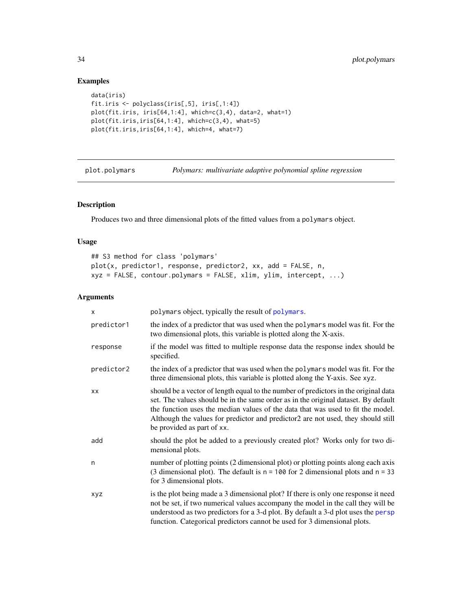# Examples

```
data(iris)
fit.iris <- polyclass(iris[,5], iris[,1:4])
plot(fit.iris, iris[64,1:4], which=c(3,4), data=2, what=1)
plot(fit.iris,iris[64,1:4], which=c(3,4), what=5)
plot(fit.iris,iris[64,1:4], which=4, what=7)
```
<span id="page-33-1"></span>plot.polymars *Polymars: multivariate adaptive polynomial spline regression*

# Description

Produces two and three dimensional plots of the fitted values from a polymars object.

# Usage

```
## S3 method for class 'polymars'
plot(x, predictor1, response, predictor2, xx, add = FALSE, n,
xyz = FALSE, contour.polymars = FALSE, xlim, ylim, intercept, ...)
```

| x          | polymars object, typically the result of polymars.                                                                                                                                                                                                                                                                                                                             |
|------------|--------------------------------------------------------------------------------------------------------------------------------------------------------------------------------------------------------------------------------------------------------------------------------------------------------------------------------------------------------------------------------|
| predictor1 | the index of a predictor that was used when the polymars model was fit. For the<br>two dimensional plots, this variable is plotted along the X-axis.                                                                                                                                                                                                                           |
| response   | if the model was fitted to multiple response data the response index should be<br>specified.                                                                                                                                                                                                                                                                                   |
| predictor2 | the index of a predictor that was used when the polymars model was fit. For the<br>three dimensional plots, this variable is plotted along the Y-axis. See xyz.                                                                                                                                                                                                                |
| XX         | should be a vector of length equal to the number of predictors in the original data<br>set. The values should be in the same order as in the original dataset. By default<br>the function uses the median values of the data that was used to fit the model.<br>Although the values for predictor and predictor2 are not used, they should still<br>be provided as part of xx. |
| add        | should the plot be added to a previously created plot? Works only for two di-<br>mensional plots.                                                                                                                                                                                                                                                                              |
| n          | number of plotting points (2 dimensional plot) or plotting points along each axis<br>(3 dimensional plot). The default is $n = 100$ for 2 dimensional plots and $n = 33$<br>for 3 dimensional plots.                                                                                                                                                                           |
| <b>XVZ</b> | is the plot being made a 3 dimensional plot? If there is only one response it need<br>not be set, if two numerical values accompany the model in the call they will be<br>understood as two predictors for a 3-d plot. By default a 3-d plot uses the persp<br>function. Categorical predictors cannot be used for 3 dimensional plots.                                        |

<span id="page-33-0"></span>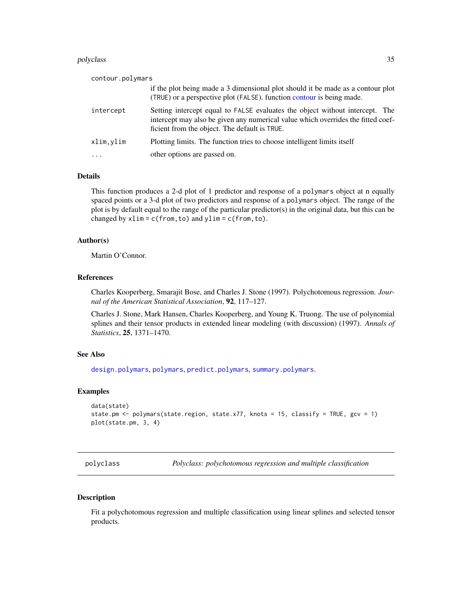#### <span id="page-34-0"></span>polyclass 35

| contour.polymars                                                                                                                                                                                                  |
|-------------------------------------------------------------------------------------------------------------------------------------------------------------------------------------------------------------------|
| if the plot being made a 3 dimensional plot should it be made as a contour plot<br>(TRUE) or a perspective plot (FALSE). function contour is being made.                                                          |
| Setting intercept equal to FALSE evaluates the object without intercept. The<br>intercept may also be given any numerical value which overrides the fitted coef-<br>ficient from the object. The default is TRUE. |
| Plotting limits. The function tries to choose intelligent limits itself                                                                                                                                           |
| other options are passed on.                                                                                                                                                                                      |
|                                                                                                                                                                                                                   |

#### Details

This function produces a 2-d plot of 1 predictor and response of a polymars object at n equally spaced points or a 3-d plot of two predictors and response of a polymars object. The range of the plot is by default equal to the range of the particular predictor(s) in the original data, but this can be changed by  $xlim = c(from, to)$  and  $ylim = c(from, to)$ .

# Author(s)

Martin O'Connor.

# References

Charles Kooperberg, Smarajit Bose, and Charles J. Stone (1997). Polychotomous regression. *Journal of the American Statistical Association*, 92, 117–127.

Charles J. Stone, Mark Hansen, Charles Kooperberg, and Young K. Truong. The use of polynomial splines and their tensor products in extended linear modeling (with discussion) (1997). *Annals of Statistics*, 25, 1371–1470.

## See Also

[design.polymars](#page-5-1), [polymars](#page-38-1), [predict.polymars](#page-42-1), [summary.polymars](#page-50-1).

#### Examples

```
data(state)
state.pm <- polymars(state.region, state.x77, knots = 15, classify = TRUE, gcv = 1)
plot(state.pm, 3, 4)
```
<span id="page-34-1"></span>polyclass *Polyclass: polychotomous regression and multiple classification*

#### Description

Fit a polychotomous regression and multiple classification using linear splines and selected tensor products.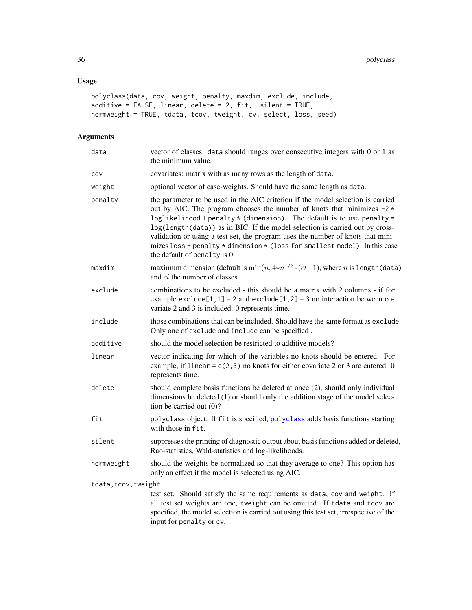# <span id="page-35-0"></span>Usage

```
polyclass(data, cov, weight, penalty, maxdim, exclude, include,
additive = FALSE, linear, delete = 2, fit, silent = TRUE,
normweight = TRUE, tdata, tcov, tweight, cv, select, loss, seed)
```

| data                 | vector of classes: data should ranges over consecutive integers with 0 or 1 as<br>the minimum value.                                                                                                                                                                                                                                                                                                                                                                                                                      |  |
|----------------------|---------------------------------------------------------------------------------------------------------------------------------------------------------------------------------------------------------------------------------------------------------------------------------------------------------------------------------------------------------------------------------------------------------------------------------------------------------------------------------------------------------------------------|--|
| COV                  | covariates: matrix with as many rows as the length of data.                                                                                                                                                                                                                                                                                                                                                                                                                                                               |  |
| weight               | optional vector of case-weights. Should have the same length as data.                                                                                                                                                                                                                                                                                                                                                                                                                                                     |  |
| penalty              | the parameter to be used in the AIC criterion if the model selection is carried<br>out by AIC. The program chooses the number of knots that minimizes $-2$ *<br>loglikelihood + penalty $*$ (dimension). The default is to use penalty =<br>log(length(data)) as in BIC. If the model selection is carried out by cross-<br>validation or using a test set, the program uses the number of knots that mini-<br>mizes loss + penalty * dimension * (loss for smallest model). In this case<br>the default of penalty is 0. |  |
| maxdim               | maximum dimension (default is $\min(n, 4*n^{1/3}*(cl-1))$ , where <i>n</i> is length (data)<br>and <i>cl</i> the number of classes.                                                                                                                                                                                                                                                                                                                                                                                       |  |
| exclude              | combinations to be excluded - this should be a matrix with 2 columns - if for<br>example exclude[1,1] = 2 and exclude[1,2] = 3 no interaction between co-<br>variate 2 and 3 is included. 0 represents time.                                                                                                                                                                                                                                                                                                              |  |
| include              | those combinations that can be included. Should have the same format as exclude.<br>Only one of exclude and include can be specified.                                                                                                                                                                                                                                                                                                                                                                                     |  |
| additive             | should the model selection be restricted to additive models?                                                                                                                                                                                                                                                                                                                                                                                                                                                              |  |
| linear               | vector indicating for which of the variables no knots should be entered. For<br>example, if linear = $c(2,3)$ no knots for either covariate 2 or 3 are entered. 0<br>represents time.                                                                                                                                                                                                                                                                                                                                     |  |
| delete               | should complete basis functions be deleted at once (2), should only individual<br>dimensions be deleted (1) or should only the addition stage of the model selec-<br>tion be carried out $(0)$ ?                                                                                                                                                                                                                                                                                                                          |  |
| fit                  | polyclass object. If fit is specified, polyclass adds basis functions starting<br>with those in fit.                                                                                                                                                                                                                                                                                                                                                                                                                      |  |
| silent               | suppresses the printing of diagnostic output about basis functions added or deleted,<br>Rao-statistics, Wald-statistics and log-likelihoods.                                                                                                                                                                                                                                                                                                                                                                              |  |
| normweight           | should the weights be normalized so that they average to one? This option has<br>only an effect if the model is selected using AIC.                                                                                                                                                                                                                                                                                                                                                                                       |  |
| tdata, tcov, tweight |                                                                                                                                                                                                                                                                                                                                                                                                                                                                                                                           |  |
|                      | test set. Should satisfy the same requirements as data, cov and weight. If<br>all test set weights are one, tweight can be omitted. If tdata and tcov are<br>specified, the model selection is carried out using this test set, irrespective of the<br>input for penalty or cv.                                                                                                                                                                                                                                           |  |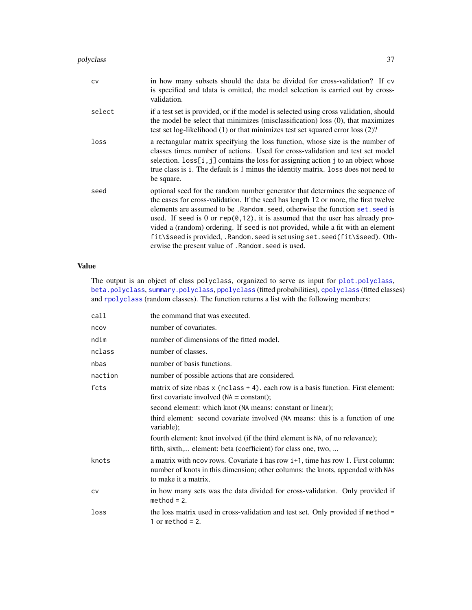#### <span id="page-36-0"></span>polyclass 37

| cv     | in how many subsets should the data be divided for cross-validation? If cv<br>is specified and tdata is omitted, the model selection is carried out by cross-<br>validation.                                                                                                                                                                                                                                                                                                                                                                                         |
|--------|----------------------------------------------------------------------------------------------------------------------------------------------------------------------------------------------------------------------------------------------------------------------------------------------------------------------------------------------------------------------------------------------------------------------------------------------------------------------------------------------------------------------------------------------------------------------|
| select | if a test set is provided, or if the model is selected using cross validation, should<br>the model be select that minimizes (misclassification) loss (0), that maximizes<br>test set log-likelihood $(1)$ or that minimizes test set squared error loss $(2)$ ?                                                                                                                                                                                                                                                                                                      |
| loss   | a rectangular matrix specifying the loss function, whose size is the number of<br>classes times number of actions. Used for cross-validation and test set model<br>selection. $loss[i, j]$ contains the loss for assigning action j to an object whose<br>true class is i. The default is 1 minus the identity matrix. loss does not need to<br>be square.                                                                                                                                                                                                           |
| seed   | optional seed for the random number generator that determines the sequence of<br>the cases for cross-validation. If the seed has length 12 or more, the first twelve<br>elements are assumed to be. Random. seed, otherwise the function set. seed is<br>used. If seed is 0 or $rep(0, 12)$ , it is assumed that the user has already pro-<br>vided a (random) ordering. If seed is not provided, while a fit with an element<br>fit\\$seed is provided, .Random.seed is set using set.seed(fit\\$seed). Oth-<br>erwise the present value of . Random. seed is used. |

# Value

The output is an object of class polyclass, organized to serve as input for [plot.polyclass](#page-31-1), [beta.polyclass](#page-1-1), [summary.polyclass](#page-49-1), [ppolyclass](#page-4-2) (fitted probabilities), [cpolyclass](#page-4-1) (fitted classes) and [rpolyclass](#page-4-2) (random classes). The function returns a list with the following members:

| call    | the command that was executed.                                                                                                                                                            |
|---------|-------------------------------------------------------------------------------------------------------------------------------------------------------------------------------------------|
| ncov    | number of covariates.                                                                                                                                                                     |
| ndim    | number of dimensions of the fitted model.                                                                                                                                                 |
| nclass  | number of classes.                                                                                                                                                                        |
| nbas    | number of basis functions.                                                                                                                                                                |
| naction | number of possible actions that are considered.                                                                                                                                           |
| fcts    | matrix of size nbas $x$ (nclass $+4$ ). each row is a basis function. First element:<br>first covariate involved $(NA = constant);$                                                       |
|         | second element: which knot (NA means: constant or linear);                                                                                                                                |
|         | third element: second covariate involved (NA means: this is a function of one<br>variable);                                                                                               |
|         | fourth element: knot involved (if the third element is NA, of no relevance);                                                                                                              |
|         | fifth, sixth, element: beta (coefficient) for class one, two,                                                                                                                             |
| knots   | a matrix with neov rows. Covariate i has row i+1, time has row 1. First column:<br>number of knots in this dimension; other columns: the knots, appended with NAs<br>to make it a matrix. |
| CV      | in how many sets was the data divided for cross-validation. Only provided if<br>$method = 2.$                                                                                             |
| loss    | the loss matrix used in cross-validation and test set. Only provided if method =<br>1 or method = $2$ .                                                                                   |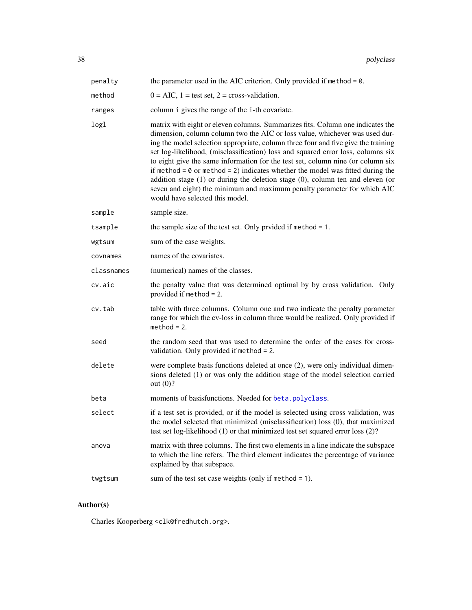| penalty    | the parameter used in the AIC criterion. Only provided if method = $0$ .                                                                                                                                                                                                                                                                                                                                                                                                                                                                                                                                                                                                                                                 |
|------------|--------------------------------------------------------------------------------------------------------------------------------------------------------------------------------------------------------------------------------------------------------------------------------------------------------------------------------------------------------------------------------------------------------------------------------------------------------------------------------------------------------------------------------------------------------------------------------------------------------------------------------------------------------------------------------------------------------------------------|
| method     | $0 = AIC$ , $1 = test set$ , $2 = cross-validation$ .                                                                                                                                                                                                                                                                                                                                                                                                                                                                                                                                                                                                                                                                    |
| ranges     | column i gives the range of the i-th covariate.                                                                                                                                                                                                                                                                                                                                                                                                                                                                                                                                                                                                                                                                          |
| logl       | matrix with eight or eleven columns. Summarizes fits. Column one indicates the<br>dimension, column column two the AIC or loss value, whichever was used dur-<br>ing the model selection appropriate, column three four and five give the training<br>set log-likelihood, (misclassification) loss and squared error loss, columns six<br>to eight give the same information for the test set, column nine (or column six<br>if method = $\theta$ or method = 2) indicates whether the model was fitted during the<br>addition stage $(1)$ or during the deletion stage $(0)$ , column ten and eleven (or<br>seven and eight) the minimum and maximum penalty parameter for which AIC<br>would have selected this model. |
| sample     | sample size.                                                                                                                                                                                                                                                                                                                                                                                                                                                                                                                                                                                                                                                                                                             |
| tsample    | the sample size of the test set. Only prvided if method $= 1$ .                                                                                                                                                                                                                                                                                                                                                                                                                                                                                                                                                                                                                                                          |
| wgtsum     | sum of the case weights.                                                                                                                                                                                                                                                                                                                                                                                                                                                                                                                                                                                                                                                                                                 |
| covnames   | names of the covariates.                                                                                                                                                                                                                                                                                                                                                                                                                                                                                                                                                                                                                                                                                                 |
| classnames | (numerical) names of the classes.                                                                                                                                                                                                                                                                                                                                                                                                                                                                                                                                                                                                                                                                                        |
| cv.aic     | the penalty value that was determined optimal by by cross validation. Only<br>provided if method $= 2$ .                                                                                                                                                                                                                                                                                                                                                                                                                                                                                                                                                                                                                 |
| cv.tab     | table with three columns. Column one and two indicate the penalty parameter<br>range for which the cv-loss in column three would be realized. Only provided if<br>$method = 2.$                                                                                                                                                                                                                                                                                                                                                                                                                                                                                                                                          |
| seed       | the random seed that was used to determine the order of the cases for cross-<br>validation. Only provided if method $= 2$ .                                                                                                                                                                                                                                                                                                                                                                                                                                                                                                                                                                                              |
| delete     | were complete basis functions deleted at once (2), were only individual dimen-<br>sions deleted (1) or was only the addition stage of the model selection carried<br>out $(0)$ ?                                                                                                                                                                                                                                                                                                                                                                                                                                                                                                                                         |
| beta       | moments of basisfunctions. Needed for beta.polyclass.                                                                                                                                                                                                                                                                                                                                                                                                                                                                                                                                                                                                                                                                    |
| select     | if a test set is provided, or if the model is selected using cross validation, was<br>the model selected that minimized (misclassification) loss (0), that maximized<br>test set log-likelihood (1) or that minimized test set squared error loss (2)?                                                                                                                                                                                                                                                                                                                                                                                                                                                                   |
| anova      | matrix with three columns. The first two elements in a line indicate the subspace<br>to which the line refers. The third element indicates the percentage of variance<br>explained by that subspace.                                                                                                                                                                                                                                                                                                                                                                                                                                                                                                                     |
| twgtsum    | sum of the test set case weights (only if method $= 1$ ).                                                                                                                                                                                                                                                                                                                                                                                                                                                                                                                                                                                                                                                                |

# Author(s)

Charles Kooperberg <clk@fredhutch.org>.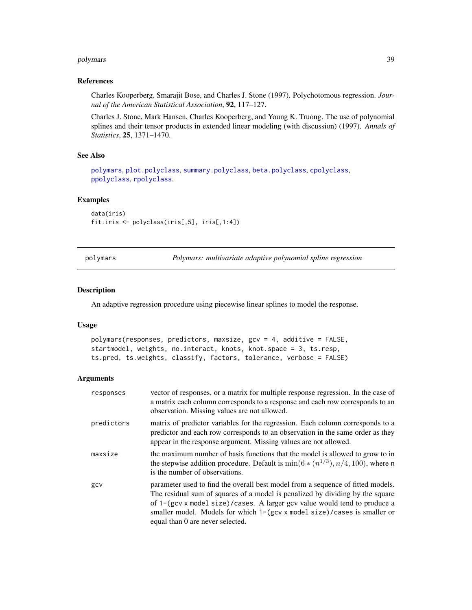#### <span id="page-38-0"></span>polymars 39

#### References

Charles Kooperberg, Smarajit Bose, and Charles J. Stone (1997). Polychotomous regression. *Journal of the American Statistical Association*, 92, 117–127.

Charles J. Stone, Mark Hansen, Charles Kooperberg, and Young K. Truong. The use of polynomial splines and their tensor products in extended linear modeling (with discussion) (1997). *Annals of Statistics*, 25, 1371–1470.

# See Also

[polymars](#page-38-1), [plot.polyclass](#page-31-1), [summary.polyclass](#page-49-1), [beta.polyclass](#page-1-1), [cpolyclass](#page-4-1), [ppolyclass](#page-4-2), [rpolyclass](#page-4-2).

#### Examples

```
data(iris)
fit.iris <- polyclass(iris[,5], iris[,1:4])
```
<span id="page-38-1"></span>polymars *Polymars: multivariate adaptive polynomial spline regression*

#### Description

An adaptive regression procedure using piecewise linear splines to model the response.

# Usage

```
polymars(responses, predictors, maxsize, gcv = 4, additive = FALSE,
startmodel, weights, no.interact, knots, knot.space = 3, ts.resp,
ts.pred, ts.weights, classify, factors, tolerance, verbose = FALSE)
```

| responses  | vector of responses, or a matrix for multiple response regression. In the case of<br>a matrix each column corresponds to a response and each row corresponds to an<br>observation. Missing values are not allowed.                                                                                                                                            |
|------------|---------------------------------------------------------------------------------------------------------------------------------------------------------------------------------------------------------------------------------------------------------------------------------------------------------------------------------------------------------------|
| predictors | matrix of predictor variables for the regression. Each column corresponds to a<br>predictor and each row corresponds to an observation in the same order as they<br>appear in the response argument. Missing values are not allowed.                                                                                                                          |
| maxsize    | the maximum number of basis functions that the model is allowed to grow to in<br>the stepwise addition procedure. Default is $\min(6*(n^{1/3}), n/4, 100)$ , where n<br>is the number of observations.                                                                                                                                                        |
| gcv        | parameter used to find the overall best model from a sequence of fitted models.<br>The residual sum of squares of a model is penalized by dividing by the square<br>of 1-(gcv x model size)/cases. A larger gcv value would tend to produce a<br>smaller model. Models for which 1-(gcv x model size)/cases is smaller or<br>equal than 0 are never selected. |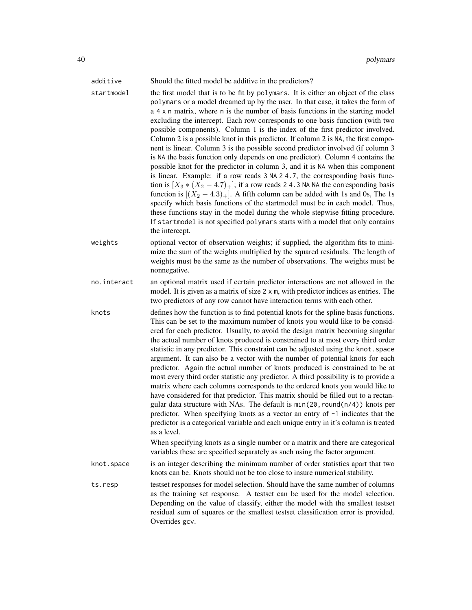| additive<br>startmodel | Should the fitted model be additive in the predictors?<br>the first model that is to be fit by polymars. It is either an object of the class<br>polymars or a model dreamed up by the user. In that case, it takes the form of<br>a 4 x n matrix, where n is the number of basis functions in the starting model<br>excluding the intercept. Each row corresponds to one basis function (with two<br>possible components). Column 1 is the index of the first predictor involved.<br>Column 2 is a possible knot in this predictor. If column 2 is NA, the first compo-<br>nent is linear. Column 3 is the possible second predictor involved (if column 3<br>is NA the basis function only depends on one predictor). Column 4 contains the<br>possible knot for the predictor in column 3, and it is NA when this component<br>is linear. Example: if a row reads 3 NA 2 4.7, the corresponding basis func-<br>tion is $[X_3 * (X_2 - 4.7)_+]$ ; if a row reads 2 4.3 NA NA the corresponding basis<br>function is $[(X_2 - 4.3)_+]$ . A fifth column can be added with 1s and 0s, The 1s<br>specify which basis functions of the startmodel must be in each model. Thus,<br>these functions stay in the model during the whole stepwise fitting procedure.<br>If startmodel is not specified polymars starts with a model that only contains<br>the intercept. |
|------------------------|-------------------------------------------------------------------------------------------------------------------------------------------------------------------------------------------------------------------------------------------------------------------------------------------------------------------------------------------------------------------------------------------------------------------------------------------------------------------------------------------------------------------------------------------------------------------------------------------------------------------------------------------------------------------------------------------------------------------------------------------------------------------------------------------------------------------------------------------------------------------------------------------------------------------------------------------------------------------------------------------------------------------------------------------------------------------------------------------------------------------------------------------------------------------------------------------------------------------------------------------------------------------------------------------------------------------------------------------------------------------|
| weights                | optional vector of observation weights; if supplied, the algorithm fits to mini-<br>mize the sum of the weights multiplied by the squared residuals. The length of<br>weights must be the same as the number of observations. The weights must be<br>nonnegative.                                                                                                                                                                                                                                                                                                                                                                                                                                                                                                                                                                                                                                                                                                                                                                                                                                                                                                                                                                                                                                                                                                 |
| no.interact            | an optional matrix used if certain predictor interactions are not allowed in the<br>model. It is given as a matrix of size 2 x m, with predictor indices as entries. The<br>two predictors of any row cannot have interaction terms with each other.                                                                                                                                                                                                                                                                                                                                                                                                                                                                                                                                                                                                                                                                                                                                                                                                                                                                                                                                                                                                                                                                                                              |
| knots                  | defines how the function is to find potential knots for the spline basis functions.<br>This can be set to the maximum number of knots you would like to be consid-<br>ered for each predictor. Usually, to avoid the design matrix becoming singular<br>the actual number of knots produced is constrained to at most every third order<br>statistic in any predictor. This constraint can be adjusted using the knot. space<br>argument. It can also be a vector with the number of potential knots for each<br>predictor. Again the actual number of knots produced is constrained to be at<br>most every third order statistic any predictor. A third possibility is to provide a<br>matrix where each columns corresponds to the ordered knots you would like to<br>have considered for that predictor. This matrix should be filled out to a rectan-<br>gular data structure with NAs. The default is $min(20, round(n/4))$ knots per<br>predictor. When specifying knots as a vector an entry of -1 indicates that the<br>predictor is a categorical variable and each unique entry in it's column is treated<br>as a level.<br>When specifying knots as a single number or a matrix and there are categorical<br>variables these are specified separately as such using the factor argument.                                                               |
| knot.space             | is an integer describing the minimum number of order statistics apart that two<br>knots can be. Knots should not be too close to insure numerical stability.                                                                                                                                                                                                                                                                                                                                                                                                                                                                                                                                                                                                                                                                                                                                                                                                                                                                                                                                                                                                                                                                                                                                                                                                      |
| ts.resp                | testset responses for model selection. Should have the same number of columns<br>as the training set response. A testset can be used for the model selection.<br>Depending on the value of classify, either the model with the smallest testset<br>residual sum of squares or the smallest testset classification error is provided.<br>Overrides gcv.                                                                                                                                                                                                                                                                                                                                                                                                                                                                                                                                                                                                                                                                                                                                                                                                                                                                                                                                                                                                            |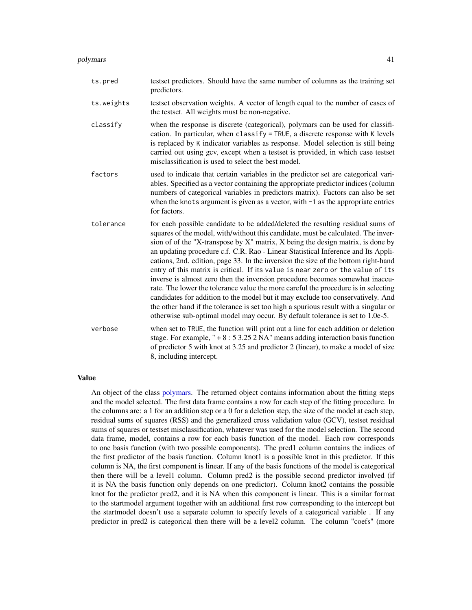<span id="page-40-0"></span>

| ts.pred    | testset predictors. Should have the same number of columns as the training set<br>predictors.                                                                                                                                                                                                                                                                                                                                                                                                                                                                                                                                                                                                                                                                                                                                                                                                                                                          |
|------------|--------------------------------------------------------------------------------------------------------------------------------------------------------------------------------------------------------------------------------------------------------------------------------------------------------------------------------------------------------------------------------------------------------------------------------------------------------------------------------------------------------------------------------------------------------------------------------------------------------------------------------------------------------------------------------------------------------------------------------------------------------------------------------------------------------------------------------------------------------------------------------------------------------------------------------------------------------|
| ts.weights | testset observation weights. A vector of length equal to the number of cases of<br>the testset. All weights must be non-negative.                                                                                                                                                                                                                                                                                                                                                                                                                                                                                                                                                                                                                                                                                                                                                                                                                      |
| classify   | when the response is discrete (categorical), polymars can be used for classifi-<br>cation. In particular, when classify = TRUE, a discrete response with K levels<br>is replaced by K indicator variables as response. Model selection is still being<br>carried out using gcv, except when a testset is provided, in which case testset<br>misclassification is used to select the best model.                                                                                                                                                                                                                                                                                                                                                                                                                                                                                                                                                        |
| factors    | used to indicate that certain variables in the predictor set are categorical vari-<br>ables. Specified as a vector containing the appropriate predictor indices (column<br>numbers of categorical variables in predictors matrix). Factors can also be set<br>when the knots argument is given as a vector, with $-1$ as the appropriate entries<br>for factors.                                                                                                                                                                                                                                                                                                                                                                                                                                                                                                                                                                                       |
| tolerance  | for each possible candidate to be added/deleted the resulting residual sums of<br>squares of the model, with/without this candidate, must be calculated. The inver-<br>sion of of the "X-transpose by X" matrix, X being the design matrix, is done by<br>an updating procedure c.f. C.R. Rao - Linear Statistical Inference and Its Appli-<br>cations, 2nd. edition, page 33. In the inversion the size of the bottom right-hand<br>entry of this matrix is critical. If its value is near zero or the value of its<br>inverse is almost zero then the inversion procedure becomes somewhat inaccu-<br>rate. The lower the tolerance value the more careful the procedure is in selecting<br>candidates for addition to the model but it may exclude too conservatively. And<br>the other hand if the tolerance is set too high a spurious result with a singular or<br>otherwise sub-optimal model may occur. By default tolerance is set to 1.0e-5. |
| verbose    | when set to TRUE, the function will print out a line for each addition or deletion<br>stage. For example, " $+8:53.252$ NA" means adding interaction basis function<br>of predictor 5 with knot at 3.25 and predictor 2 (linear), to make a model of size<br>8, including intercept.                                                                                                                                                                                                                                                                                                                                                                                                                                                                                                                                                                                                                                                                   |

#### Value

An object of the class [polymars.](#page-38-1) The returned object contains information about the fitting steps and the model selected. The first data frame contains a row for each step of the fitting procedure. In the columns are: a 1 for an addition step or a 0 for a deletion step, the size of the model at each step, residual sums of squares (RSS) and the generalized cross validation value (GCV), testset residual sums of squares or testset misclassification, whatever was used for the model selection. The second data frame, model, contains a row for each basis function of the model. Each row corresponds to one basis function (with two possible components). The pred1 column contains the indices of the first predictor of the basis function. Column knot1 is a possible knot in this predictor. If this column is NA, the first component is linear. If any of the basis functions of the model is categorical then there will be a level1 column. Column pred2 is the possible second predictor involved (if it is NA the basis function only depends on one predictor). Column knot2 contains the possible knot for the predictor pred2, and it is NA when this component is linear. This is a similar format to the startmodel argument together with an additional first row corresponding to the intercept but the startmodel doesn't use a separate column to specify levels of a categorical variable . If any predictor in pred2 is categorical then there will be a level2 column. The column "coefs" (more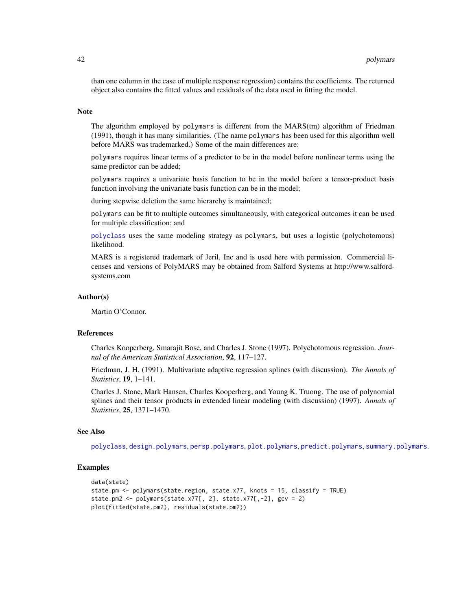than one column in the case of multiple response regression) contains the coefficients. The returned object also contains the fitted values and residuals of the data used in fitting the model.

#### Note

The algorithm employed by polymars is different from the MARS(tm) algorithm of Friedman (1991), though it has many similarities. (The name polymars has been used for this algorithm well before MARS was trademarked.) Some of the main differences are:

polymars requires linear terms of a predictor to be in the model before nonlinear terms using the same predictor can be added;

polymars requires a univariate basis function to be in the model before a tensor-product basis function involving the univariate basis function can be in the model;

during stepwise deletion the same hierarchy is maintained;

polymars can be fit to multiple outcomes simultaneously, with categorical outcomes it can be used for multiple classification; and

[polyclass](#page-34-1) uses the same modeling strategy as polymars, but uses a logistic (polychotomous) likelihood.

MARS is a registered trademark of Jeril, Inc and is used here with permission. Commercial licenses and versions of PolyMARS may be obtained from Salford Systems at http://www.salfordsystems.com

#### Author(s)

Martin O'Connor.

#### References

Charles Kooperberg, Smarajit Bose, and Charles J. Stone (1997). Polychotomous regression. *Journal of the American Statistical Association*, 92, 117–127.

Friedman, J. H. (1991). Multivariate adaptive regression splines (with discussion). *The Annals of Statistics*, 19, 1–141.

Charles J. Stone, Mark Hansen, Charles Kooperberg, and Young K. Truong. The use of polynomial splines and their tensor products in extended linear modeling (with discussion) (1997). *Annals of Statistics*, 25, 1371–1470.

#### See Also

[polyclass](#page-34-1), [design.polymars](#page-5-1), [persp.polymars](#page-24-1), [plot.polymars](#page-33-1), [predict.polymars](#page-42-1), [summary.polymars](#page-50-1).

#### Examples

```
data(state)
state.pm <- polymars(state.region, state.x77, knots = 15, classify = TRUE)
state.pm2 <- polymars(state.x77[, 2], state.x77[,-2], gcv = 2)
plot(fitted(state.pm2), residuals(state.pm2))
```
<span id="page-41-0"></span>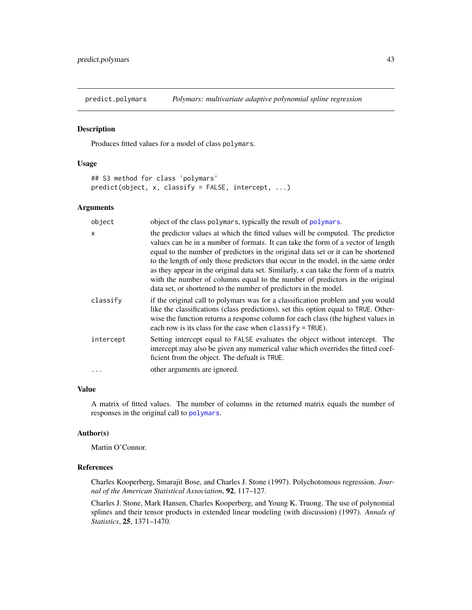<span id="page-42-1"></span><span id="page-42-0"></span>

#### Description

Produces fitted values for a model of class polymars.

#### Usage

```
## S3 method for class 'polymars'
predict(object, x, classify = FALSE, intercept, ...)
```
#### Arguments

| object       | object of the class polymars, typically the result of polymars.                                                                                                                                                                                                                                                                                                                                                                                                                                                                                                                          |
|--------------|------------------------------------------------------------------------------------------------------------------------------------------------------------------------------------------------------------------------------------------------------------------------------------------------------------------------------------------------------------------------------------------------------------------------------------------------------------------------------------------------------------------------------------------------------------------------------------------|
| $\mathsf{x}$ | the predictor values at which the fitted values will be computed. The predictor<br>values can be in a number of formats. It can take the form of a vector of length<br>equal to the number of predictors in the original data set or it can be shortened<br>to the length of only those predictors that occur in the model, in the same order<br>as they appear in the original data set. Similarly, x can take the form of a matrix<br>with the number of columns equal to the number of predictors in the original<br>data set, or shortened to the number of predictors in the model. |
| classify     | if the original call to polymars was for a classification problem and you would<br>like the classifications (class predictions), set this option equal to TRUE. Other-<br>wise the function returns a response column for each class (the highest values in<br>each row is its class for the case when classify $=$ TRUE).                                                                                                                                                                                                                                                               |
| intercept    | Setting intercept equal to FALSE evaluates the object without intercept. The<br>intercept may also be given any numerical value which overrides the fitted coef-<br>ficient from the object. The defualt is TRUE.                                                                                                                                                                                                                                                                                                                                                                        |
| .            | other arguments are ignored.                                                                                                                                                                                                                                                                                                                                                                                                                                                                                                                                                             |

# Value

A matrix of fitted values. The number of columns in the returned matrix equals the number of responses in the original call to [polymars](#page-38-1).

#### Author(s)

Martin O'Connor.

#### References

Charles Kooperberg, Smarajit Bose, and Charles J. Stone (1997). Polychotomous regression. *Journal of the American Statistical Association*, 92, 117–127.

Charles J. Stone, Mark Hansen, Charles Kooperberg, and Young K. Truong. The use of polynomial splines and their tensor products in extended linear modeling (with discussion) (1997). *Annals of Statistics*, 25, 1371–1470.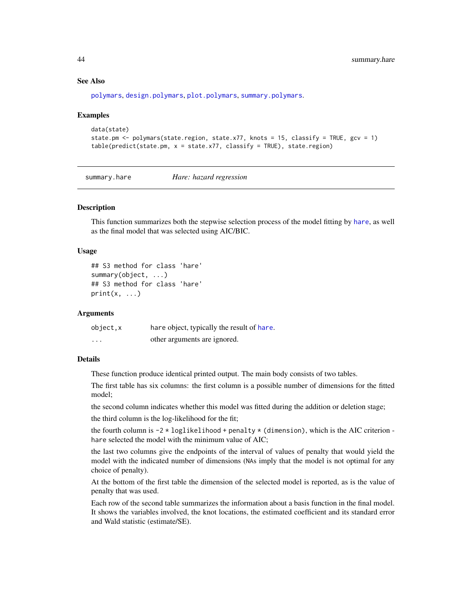#### <span id="page-43-0"></span>See Also

[polymars](#page-38-1), [design.polymars](#page-5-1), [plot.polymars](#page-33-1), [summary.polymars](#page-50-1).

#### Examples

```
data(state)
state.pm <- polymars(state.region, state.x77, knots = 15, classify = TRUE, gcv = 1)
table(predict(state.pm, x = state.x77, classify = TRUE), state.regin)
```
<span id="page-43-1"></span>summary.hare *Hare: hazard regression*

# Description

This function summarizes both the stepwise selection process of the model fitting by [hare](#page-11-1), as well as the final model that was selected using AIC/BIC.

# Usage

```
## S3 method for class 'hare'
summary(object, ...)
## S3 method for class 'hare'
print(x, \ldots)
```
#### Arguments

| object,x | hare object, typically the result of hare. |
|----------|--------------------------------------------|
| .        | other arguments are ignored.               |

#### Details

These function produce identical printed output. The main body consists of two tables.

The first table has six columns: the first column is a possible number of dimensions for the fitted model;

the second column indicates whether this model was fitted during the addition or deletion stage;

the third column is the log-likelihood for the fit;

the fourth column is  $-2 \times \text{loglikelihood} + \text{penalty} \times (\text{dimension})$ , which is the AIC criterion hare selected the model with the minimum value of AIC;

the last two columns give the endpoints of the interval of values of penalty that would yield the model with the indicated number of dimensions (NAs imply that the model is not optimal for any choice of penalty).

At the bottom of the first table the dimension of the selected model is reported, as is the value of penalty that was used.

Each row of the second table summarizes the information about a basis function in the final model. It shows the variables involved, the knot locations, the estimated coefficient and its standard error and Wald statistic (estimate/SE).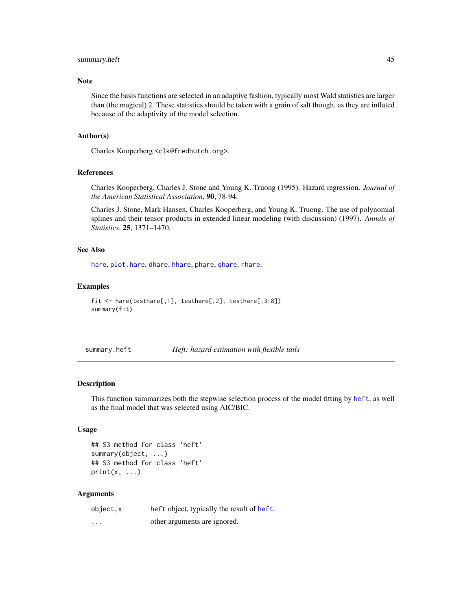# <span id="page-44-0"></span>summary.heft 45

#### Note

Since the basis functions are selected in an adaptive fashion, typically most Wald statistics are larger than (the magical) 2. These statistics should be taken with a grain of salt though, as they are inflated because of the adaptivity of the model selection.

#### Author(s)

Charles Kooperberg <clk@fredhutch.org>.

#### References

Charles Kooperberg, Charles J. Stone and Young K. Truong (1995). Hazard regression. *Journal of the American Statistical Association*, 90, 78-94.

Charles J. Stone, Mark Hansen, Charles Kooperberg, and Young K. Truong. The use of polynomial splines and their tensor products in extended linear modeling (with discussion) (1997). *Annals of Statistics*, 25, 1371–1470.

# See Also

[hare](#page-11-1), [plot.hare](#page-25-1), [dhare](#page-6-1), [hhare](#page-6-2), [phare](#page-6-2), [qhare](#page-6-2), [rhare](#page-6-2).

#### Examples

```
fit <- hare(testhare[,1], testhare[,2], testhare[,3:8])
summary(fit)
```
<span id="page-44-1"></span>summary.heft *Heft: hazard estimation with flexible tails*

#### Description

This function summarizes both the stepwise selection process of the model fitting by [heft](#page-14-1), as well as the final model that was selected using AIC/BIC.

#### Usage

```
## S3 method for class 'heft'
summary(object, ...)
## S3 method for class 'heft'
print(x, \ldots)
```

| object,x | heft object, typically the result of heft. |
|----------|--------------------------------------------|
| $\cdots$ | other arguments are ignored.               |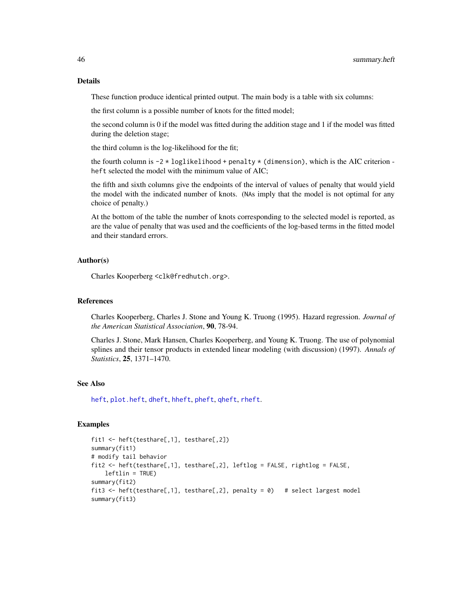These function produce identical printed output. The main body is a table with six columns:

the first column is a possible number of knots for the fitted model;

the second column is 0 if the model was fitted during the addition stage and 1 if the model was fitted during the deletion stage;

the third column is the log-likelihood for the fit;

the fourth column is  $-2 \times \text{loglikelihood} + \text{penalty} \times (\text{dimension})$ , which is the AIC criterion heft selected the model with the minimum value of AIC;

the fifth and sixth columns give the endpoints of the interval of values of penalty that would yield the model with the indicated number of knots. (NAs imply that the model is not optimal for any choice of penalty.)

At the bottom of the table the number of knots corresponding to the selected model is reported, as are the value of penalty that was used and the coefficients of the log-based terms in the fitted model and their standard errors.

#### Author(s)

Charles Kooperberg <clk@fredhutch.org>.

# References

Charles Kooperberg, Charles J. Stone and Young K. Truong (1995). Hazard regression. *Journal of the American Statistical Association*, 90, 78-94.

Charles J. Stone, Mark Hansen, Charles Kooperberg, and Young K. Truong. The use of polynomial splines and their tensor products in extended linear modeling (with discussion) (1997). *Annals of Statistics*, 25, 1371–1470.

#### See Also

[heft](#page-14-1), [plot.heft](#page-26-1), [dheft](#page-8-1), [hheft](#page-8-2), [pheft](#page-8-2), [qheft](#page-8-2), [rheft](#page-8-2).

#### Examples

```
fit1 <- heft(testhare[,1], testhare[,2])
summary(fit1)
# modify tail behavior
fit2 <- heft(testhare[,1], testhare[,2], leftlog = FALSE, rightlog = FALSE,
   leftlin = TRUE)
summary(fit2)
fit3 <- heft(testhare[,1], testhare[,2], penalty = 0) # select largest model
summary(fit3)
```
<span id="page-45-0"></span>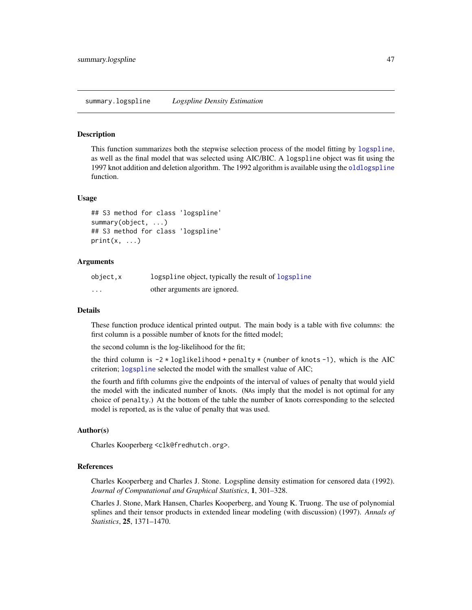#### <span id="page-46-1"></span><span id="page-46-0"></span>Description

This function summarizes both the stepwise selection process of the model fitting by [logspline](#page-16-1), as well as the final model that was selected using AIC/BIC. A logspline object was fit using the 1997 knot addition and deletion algorithm. The 1992 algorithm is available using the [oldlogspline](#page-20-1) function.

#### Usage

```
## S3 method for class 'logspline'
summary(object, ...)
## S3 method for class 'logspline'
print(x, \ldots)
```
#### Arguments

| object,x | logspline object, typically the result of logspline |
|----------|-----------------------------------------------------|
| .        | other arguments are ignored.                        |

#### Details

These function produce identical printed output. The main body is a table with five columns: the first column is a possible number of knots for the fitted model;

the second column is the log-likelihood for the fit;

the third column is  $-2 \times \text{loglikelihood} + \text{penalty} \times (\text{number of knots -1}),$  which is the AIC criterion; [logspline](#page-16-1) selected the model with the smallest value of AIC;

the fourth and fifth columns give the endpoints of the interval of values of penalty that would yield the model with the indicated number of knots. (NAs imply that the model is not optimal for any choice of penalty.) At the bottom of the table the number of knots corresponding to the selected model is reported, as is the value of penalty that was used.

## Author(s)

Charles Kooperberg <clk@fredhutch.org>.

#### References

Charles Kooperberg and Charles J. Stone. Logspline density estimation for censored data (1992). *Journal of Computational and Graphical Statistics*, 1, 301–328.

Charles J. Stone, Mark Hansen, Charles Kooperberg, and Young K. Truong. The use of polynomial splines and their tensor products in extended linear modeling (with discussion) (1997). *Annals of Statistics*, 25, 1371–1470.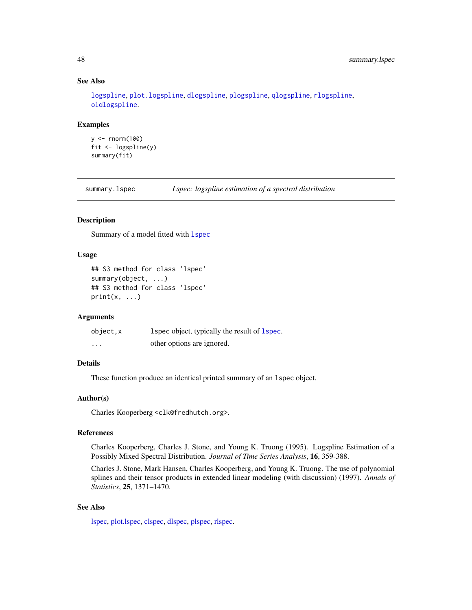# See Also

[logspline](#page-16-1), [plot.logspline](#page-28-1), [dlogspline](#page-9-1), [plogspline](#page-9-2), [qlogspline](#page-9-2), [rlogspline](#page-9-2), [oldlogspline](#page-20-1).

#### Examples

```
y <- rnorm(100)
fit <- logspline(y)
summary(fit)
```
<span id="page-47-1"></span>summary.lspec *Lspec: logspline estimation of a spectral distribution*

# Description

Summary of a model fitted with [lspec](#page-18-1)

#### Usage

```
## S3 method for class 'lspec'
summary(object, ...)
## S3 method for class 'lspec'
print(x, \ldots)
```
## Arguments

| object, x | 1 spec object, typically the result of 1 spec. |
|-----------|------------------------------------------------|
| .         | other options are ignored.                     |

# Details

These function produce an identical printed summary of an lspec object.

#### Author(s)

Charles Kooperberg <clk@fredhutch.org>.

#### References

Charles Kooperberg, Charles J. Stone, and Young K. Truong (1995). Logspline Estimation of a Possibly Mixed Spectral Distribution. *Journal of Time Series Analysis*, 16, 359-388.

Charles J. Stone, Mark Hansen, Charles Kooperberg, and Young K. Truong. The use of polynomial splines and their tensor products in extended linear modeling (with discussion) (1997). *Annals of Statistics*, 25, 1371–1470.

## See Also

[lspec,](#page-18-1) [plot.lspec,](#page-29-1) [clspec,](#page-2-1) [dlspec,](#page-2-2) [plspec,](#page-2-2) [rlspec.](#page-2-2)

<span id="page-47-0"></span>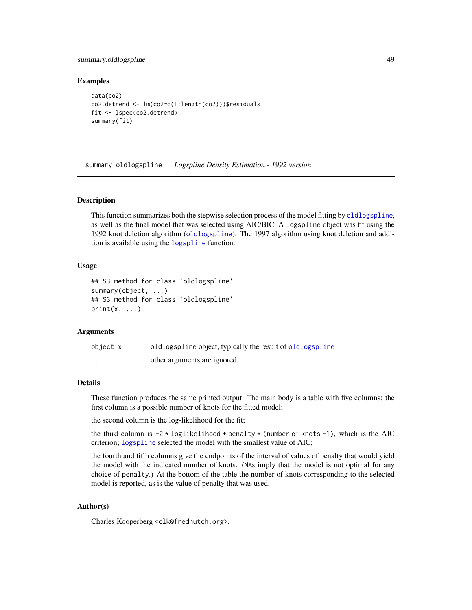# <span id="page-48-0"></span>summary.oldlogspline 49

#### Examples

```
data(co2)
co2.detrend <- lm(co2~c(1:length(co2)))$residuals
fit <- lspec(co2.detrend)
summary(fit)
```
<span id="page-48-1"></span>summary.oldlogspline *Logspline Density Estimation - 1992 version*

#### **Description**

This function summarizes both the stepwise selection process of the model fitting by [oldlogspline](#page-20-1), as well as the final model that was selected using AIC/BIC. A logspline object was fit using the 1992 knot deletion algorithm ([oldlogspline](#page-20-1)). The 1997 algorithm using knot deletion and addition is available using the [logspline](#page-16-1) function.

#### Usage

```
## S3 method for class 'oldlogspline'
summary(object, ...)
## S3 method for class 'oldlogspline'
print(x, \ldots)
```
#### Arguments

| object.x | oldlogspline object, typically the result of oldlogspline |
|----------|-----------------------------------------------------------|
| .        | other arguments are ignored.                              |

# Details

These function produces the same printed output. The main body is a table with five columns: the first column is a possible number of knots for the fitted model;

the second column is the log-likelihood for the fit;

the third column is  $-2 \times \text{loglikelihood} + \text{penalty} \times (\text{number of knots} - 1)$ , which is the AIC criterion; [logspline](#page-16-1) selected the model with the smallest value of AIC;

the fourth and fifth columns give the endpoints of the interval of values of penalty that would yield the model with the indicated number of knots. (NAs imply that the model is not optimal for any choice of penalty.) At the bottom of the table the number of knots corresponding to the selected model is reported, as is the value of penalty that was used.

# Author(s)

Charles Kooperberg <clk@fredhutch.org>.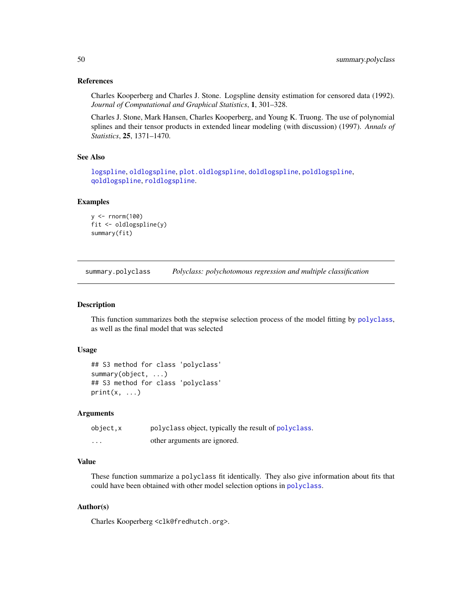#### <span id="page-49-0"></span>References

Charles Kooperberg and Charles J. Stone. Logspline density estimation for censored data (1992). *Journal of Computational and Graphical Statistics*, 1, 301–328.

Charles J. Stone, Mark Hansen, Charles Kooperberg, and Young K. Truong. The use of polynomial splines and their tensor products in extended linear modeling (with discussion) (1997). *Annals of Statistics*, 25, 1371–1470.

# See Also

[logspline](#page-16-1), [oldlogspline](#page-20-1), [plot.oldlogspline](#page-30-1), [doldlogspline](#page-10-1), [poldlogspline](#page-10-2), [qoldlogspline](#page-10-2), [roldlogspline](#page-10-2).

#### Examples

```
y <- rnorm(100)
fit <- oldlogspline(y)
summary(fit)
```
<span id="page-49-1"></span>summary.polyclass *Polyclass: polychotomous regression and multiple classification*

# **Description**

This function summarizes both the stepwise selection process of the model fitting by [polyclass](#page-34-1), as well as the final model that was selected

#### Usage

```
## S3 method for class 'polyclass'
summary(object, ...)
## S3 method for class 'polyclass'
print(x, \ldots)
```
#### Arguments

| object,x | polyclass object, typically the result of polyclass. |
|----------|------------------------------------------------------|
| $\cdots$ | other arguments are ignored.                         |

# Value

These function summarize a polyclass fit identically. They also give information about fits that could have been obtained with other model selection options in [polyclass](#page-34-1).

## Author(s)

Charles Kooperberg <clk@fredhutch.org>.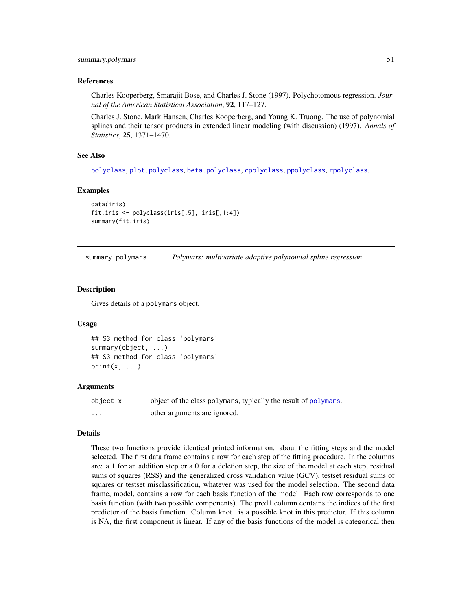#### <span id="page-50-0"></span>References

Charles Kooperberg, Smarajit Bose, and Charles J. Stone (1997). Polychotomous regression. *Journal of the American Statistical Association*, 92, 117–127.

Charles J. Stone, Mark Hansen, Charles Kooperberg, and Young K. Truong. The use of polynomial splines and their tensor products in extended linear modeling (with discussion) (1997). *Annals of Statistics*, 25, 1371–1470.

#### See Also

[polyclass](#page-34-1), [plot.polyclass](#page-31-1), [beta.polyclass](#page-1-1), [cpolyclass](#page-4-1), [ppolyclass](#page-4-2), [rpolyclass](#page-4-2).

#### Examples

```
data(iris)
fit.iris <- polyclass(iris[,5], iris[,1:4])
summary(fit.iris)
```
<span id="page-50-1"></span>summary.polymars *Polymars: multivariate adaptive polynomial spline regression*

#### **Description**

Gives details of a polymars object.

#### Usage

```
## S3 method for class 'polymars'
summary(object, ...)
## S3 method for class 'polymars'
print(x, \ldots)
```
#### Arguments

| object.x          | object of the class polymars, typically the result of polymars. |
|-------------------|-----------------------------------------------------------------|
| $\cdot\cdot\cdot$ | other arguments are ignored.                                    |

#### Details

These two functions provide identical printed information. about the fitting steps and the model selected. The first data frame contains a row for each step of the fitting procedure. In the columns are: a 1 for an addition step or a 0 for a deletion step, the size of the model at each step, residual sums of squares (RSS) and the generalized cross validation value (GCV), testset residual sums of squares or testset misclassification, whatever was used for the model selection. The second data frame, model, contains a row for each basis function of the model. Each row corresponds to one basis function (with two possible components). The pred1 column contains the indices of the first predictor of the basis function. Column knot1 is a possible knot in this predictor. If this column is NA, the first component is linear. If any of the basis functions of the model is categorical then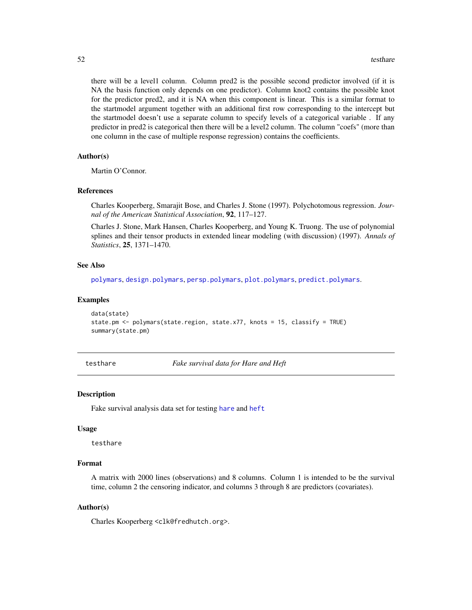<span id="page-51-0"></span>there will be a level1 column. Column pred2 is the possible second predictor involved (if it is NA the basis function only depends on one predictor). Column knot2 contains the possible knot for the predictor pred2, and it is NA when this component is linear. This is a similar format to the startmodel argument together with an additional first row corresponding to the intercept but the startmodel doesn't use a separate column to specify levels of a categorical variable . If any predictor in pred2 is categorical then there will be a level2 column. The column "coefs" (more than one column in the case of multiple response regression) contains the coefficients.

# Author(s)

Martin O'Connor.

#### References

Charles Kooperberg, Smarajit Bose, and Charles J. Stone (1997). Polychotomous regression. *Journal of the American Statistical Association*, 92, 117–127.

Charles J. Stone, Mark Hansen, Charles Kooperberg, and Young K. Truong. The use of polynomial splines and their tensor products in extended linear modeling (with discussion) (1997). *Annals of Statistics*, 25, 1371–1470.

#### See Also

[polymars](#page-38-1), [design.polymars](#page-5-1), [persp.polymars](#page-24-1), [plot.polymars](#page-33-1), [predict.polymars](#page-42-1).

#### Examples

```
data(state)
state.pm <- polymars(state.region, state.x77, knots = 15, classify = TRUE)
summary(state.pm)
```
testhare *Fake survival data for Hare and Heft*

#### Description

Fake survival analysis data set for testing [hare](#page-11-1) and [heft](#page-14-1)

#### Usage

testhare

#### Format

A matrix with 2000 lines (observations) and 8 columns. Column 1 is intended to be the survival time, column 2 the censoring indicator, and columns 3 through 8 are predictors (covariates).

#### Author(s)

Charles Kooperberg <clk@fredhutch.org>.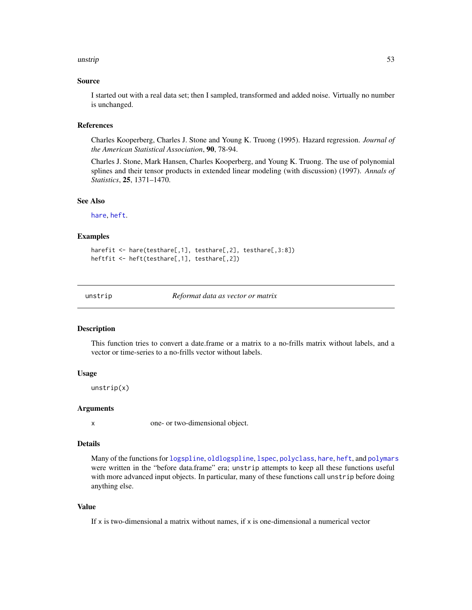#### <span id="page-52-0"></span>unstrip 53 and 53 and 53 and 53 and 53 and 53 and 53 and 53 and 53 and 53 and 53 and 53 and 53 and 53 and 53 and 54

#### Source

I started out with a real data set; then I sampled, transformed and added noise. Virtually no number is unchanged.

#### References

Charles Kooperberg, Charles J. Stone and Young K. Truong (1995). Hazard regression. *Journal of the American Statistical Association*, 90, 78-94.

Charles J. Stone, Mark Hansen, Charles Kooperberg, and Young K. Truong. The use of polynomial splines and their tensor products in extended linear modeling (with discussion) (1997). *Annals of Statistics*, 25, 1371–1470.

# See Also

[hare](#page-11-1), [heft](#page-14-1).

#### Examples

```
harefit <- hare(testhare[,1], testhare[,2], testhare[,3:8])
heftfit <- heft(testhare[,1], testhare[,2])
```
unstrip *Reformat data as vector or matrix*

#### Description

This function tries to convert a date.frame or a matrix to a no-frills matrix without labels, and a vector or time-series to a no-frills vector without labels.

#### Usage

unstrip(x)

#### Arguments

x one- or two-dimensional object.

# Details

Many of the functions for [logspline](#page-16-1), [oldlogspline](#page-20-1), [lspec](#page-18-1), [polyclass](#page-34-1), [hare](#page-11-1), [heft](#page-14-1), and [polymars](#page-38-1) were written in the "before data.frame" era; unstrip attempts to keep all these functions useful with more advanced input objects. In particular, many of these functions call unstrip before doing anything else.

#### Value

If  $x$  is two-dimensional a matrix without names, if  $x$  is one-dimensional a numerical vector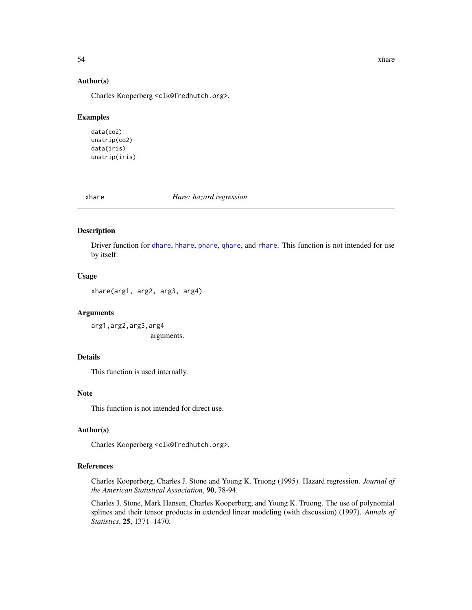<span id="page-53-0"></span>54 xhare xhare xhanks and xhare xhanks and xhare xhare xhare xhare xhare xhare xhare xhare xhare xhare xhare xhare xhare xhare xhare xhare xhare xhare xhare xhare xhare xhare xhare xhare xhare xhare xhare xhare xhare xhare

#### Author(s)

Charles Kooperberg <clk@fredhutch.org>.

#### Examples

data(co2) unstrip(co2) data(iris) unstrip(iris)

xhare *Hare: hazard regression*

#### Description

Driver function for [dhare](#page-6-1), [hhare](#page-6-2), [phare](#page-6-2), [qhare](#page-6-2), and [rhare](#page-6-2). This function is not intended for use by itself.

#### Usage

xhare(arg1, arg2, arg3, arg4)

#### Arguments

arg1,arg2,arg3,arg4 arguments.

# Details

This function is used internally.

# Note

This function is not intended for direct use.

### Author(s)

Charles Kooperberg <clk@fredhutch.org>.

# References

Charles Kooperberg, Charles J. Stone and Young K. Truong (1995). Hazard regression. *Journal of the American Statistical Association*, 90, 78-94.

Charles J. Stone, Mark Hansen, Charles Kooperberg, and Young K. Truong. The use of polynomial splines and their tensor products in extended linear modeling (with discussion) (1997). *Annals of Statistics*, 25, 1371–1470.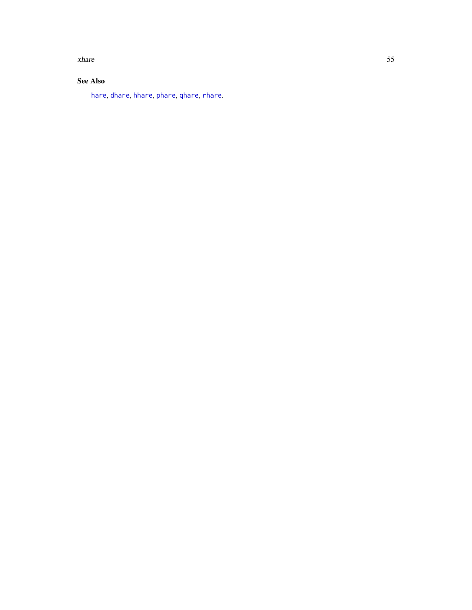<span id="page-54-0"></span>xhare 55

# See Also

[hare](#page-11-1), [dhare](#page-6-1), [hhare](#page-6-2), [phare](#page-6-2), [qhare](#page-6-2), [rhare](#page-6-2).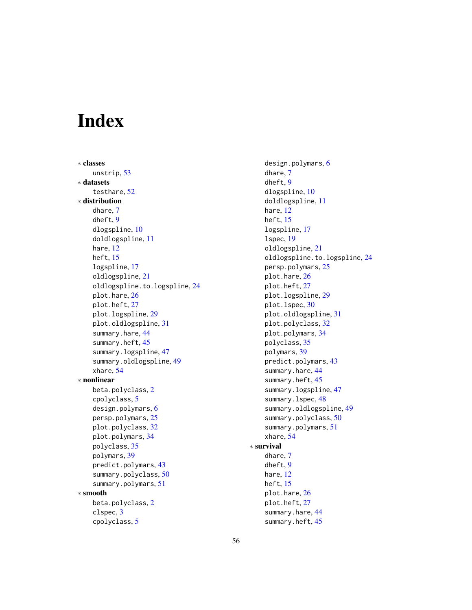# <span id="page-55-0"></span>Index

∗ classes unstrip, [53](#page-52-0) ∗ datasets testhare, [52](#page-51-0) ∗ distribution dhare, [7](#page-6-0) dheft, [9](#page-8-0) dlogspline, [10](#page-9-0) doldlogspline, [11](#page-10-0) hare, [12](#page-11-0) heft, [15](#page-14-0) logspline, [17](#page-16-0) oldlogspline, [21](#page-20-0) oldlogspline.to.logspline, [24](#page-23-0) plot.hare, [26](#page-25-0) plot.heft, [27](#page-26-0) plot.logspline, [29](#page-28-0) plot.oldlogspline, [31](#page-30-0) summary.hare, [44](#page-43-0) summary.heft, [45](#page-44-0) summary.logspline, [47](#page-46-0) summary.oldlogspline, [49](#page-48-0) xhare, [54](#page-53-0) ∗ nonlinear beta.polyclass, [2](#page-1-0) cpolyclass, [5](#page-4-0) design.polymars, [6](#page-5-0) persp.polymars, [25](#page-24-0) plot.polyclass, [32](#page-31-0) plot.polymars, [34](#page-33-0) polyclass, [35](#page-34-0) polymars, [39](#page-38-0) predict.polymars, [43](#page-42-0) summary.polyclass, [50](#page-49-0) summary.polymars, [51](#page-50-0) ∗ smooth beta.polyclass, [2](#page-1-0) clspec, [3](#page-2-0) cpolyclass, [5](#page-4-0)

design.polymars, [6](#page-5-0) dhare, [7](#page-6-0) dheft, [9](#page-8-0) dlogspline, [10](#page-9-0) doldlogspline, [11](#page-10-0) hare, [12](#page-11-0) heft, [15](#page-14-0) logspline, [17](#page-16-0) lspec, [19](#page-18-0) oldlogspline, [21](#page-20-0) oldlogspline.to.logspline, [24](#page-23-0) persp.polymars, [25](#page-24-0) plot.hare, [26](#page-25-0) plot.heft, [27](#page-26-0) plot.logspline, [29](#page-28-0) plot.lspec, [30](#page-29-0) plot.oldlogspline, [31](#page-30-0) plot.polyclass, [32](#page-31-0) plot.polymars, [34](#page-33-0) polyclass, [35](#page-34-0) polymars, [39](#page-38-0) predict.polymars, [43](#page-42-0) summary.hare, [44](#page-43-0) summary.heft, [45](#page-44-0) summary.logspline, [47](#page-46-0) summary.lspec, [48](#page-47-0) summary.oldlogspline, [49](#page-48-0) summary.polyclass, [50](#page-49-0) summary.polymars, [51](#page-50-0) xhare, [54](#page-53-0) ∗ survival dhare, [7](#page-6-0) dheft, [9](#page-8-0) hare, [12](#page-11-0) heft, [15](#page-14-0) plot.hare, [26](#page-25-0) plot.heft, [27](#page-26-0) summary.hare, [44](#page-43-0) summary.heft, [45](#page-44-0)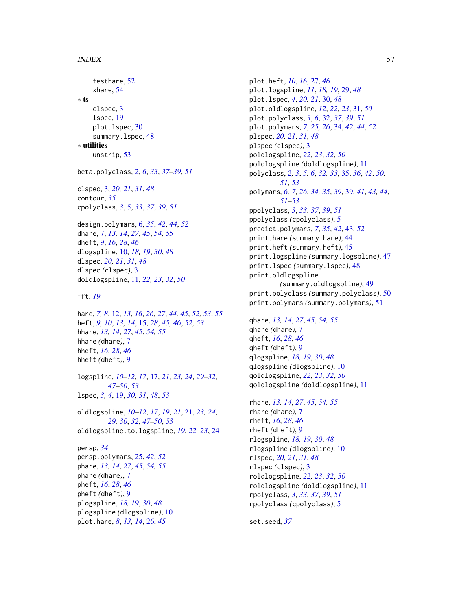#### INDEX 57

testhare, [52](#page-51-0) xhare, [54](#page-53-0) ∗ ts clspec, [3](#page-2-0) lspec, [19](#page-18-0) plot.lspec, [30](#page-29-0) summary.lspec, [48](#page-47-0) ∗ utilities unstrip, [53](#page-52-0) beta.polyclass, [2,](#page-1-0) *[6](#page-5-0)*, *[33](#page-32-0)*, *[37–](#page-36-0)[39](#page-38-0)*, *[51](#page-50-0)* clspec, [3,](#page-2-0) *[20,](#page-19-0) [21](#page-20-0)*, *[31](#page-30-0)*, *[48](#page-47-0)* contour, *[35](#page-34-0)* cpolyclass, *[3](#page-2-0)*, [5,](#page-4-0) *[33](#page-32-0)*, *[37](#page-36-0)*, *[39](#page-38-0)*, *[51](#page-50-0)* design.polymars, [6,](#page-5-0) *[35](#page-34-0)*, *[42](#page-41-0)*, *[44](#page-43-0)*, *[52](#page-51-0)* dhare, [7,](#page-6-0) *[13,](#page-12-0) [14](#page-13-0)*, *[27](#page-26-0)*, *[45](#page-44-0)*, *[54,](#page-53-0) [55](#page-54-0)* dheft, [9,](#page-8-0) *[16](#page-15-0)*, *[28](#page-27-0)*, *[46](#page-45-0)* dlogspline, [10,](#page-9-0) *[18,](#page-17-0) [19](#page-18-0)*, *[30](#page-29-0)*, *[48](#page-47-0)* dlspec, *[20,](#page-19-0) [21](#page-20-0)*, *[31](#page-30-0)*, *[48](#page-47-0)* dlspec *(*clspec*)*, [3](#page-2-0) doldlogspline, [11,](#page-10-0) *[22,](#page-21-0) [23](#page-22-0)*, *[32](#page-31-0)*, *[50](#page-49-0)* fft, *[19](#page-18-0)* hare, *[7,](#page-6-0) [8](#page-7-0)*, [12,](#page-11-0) *[13](#page-12-0)*, *[16](#page-15-0)*, *[26,](#page-25-0) [27](#page-26-0)*, *[44,](#page-43-0) [45](#page-44-0)*, *[52,](#page-51-0) [53](#page-52-0)*, *[55](#page-54-0)* heft, *[9,](#page-8-0) [10](#page-9-0)*, *[13,](#page-12-0) [14](#page-13-0)*, [15,](#page-14-0) *[28](#page-27-0)*, *[45,](#page-44-0) [46](#page-45-0)*, *[52,](#page-51-0) [53](#page-52-0)* hhare, *[13,](#page-12-0) [14](#page-13-0)*, *[27](#page-26-0)*, *[45](#page-44-0)*, *[54,](#page-53-0) [55](#page-54-0)* hhare *(*dhare*)*, [7](#page-6-0) hheft, *[16](#page-15-0)*, *[28](#page-27-0)*, *[46](#page-45-0)* hheft *(*dheft*)*, [9](#page-8-0) logspline, *[10](#page-9-0)[–12](#page-11-0)*, *[17](#page-16-0)*, [17,](#page-16-0) *[21](#page-20-0)*, *[23,](#page-22-0) [24](#page-23-0)*, *[29–](#page-28-0)[32](#page-31-0)*, *[47](#page-46-0)[–50](#page-49-0)*, *[53](#page-52-0)* lspec, *[3,](#page-2-0) [4](#page-3-0)*, [19,](#page-18-0) *[30,](#page-29-0) [31](#page-30-0)*, *[48](#page-47-0)*, *[53](#page-52-0)* oldlogspline, *[10](#page-9-0)[–12](#page-11-0)*, *[17](#page-16-0)*, *[19](#page-18-0)*, *[21](#page-20-0)*, [21,](#page-20-0) *[23,](#page-22-0) [24](#page-23-0)*, *[29,](#page-28-0) [30](#page-29-0)*, *[32](#page-31-0)*, *[47–](#page-46-0)[50](#page-49-0)*, *[53](#page-52-0)* oldlogspline.to.logspline, *[19](#page-18-0)*, *[22,](#page-21-0) [23](#page-22-0)*, [24](#page-23-0) persp, *[34](#page-33-0)* persp.polymars, [25,](#page-24-0) *[42](#page-41-0)*, *[52](#page-51-0)* phare, *[13,](#page-12-0) [14](#page-13-0)*, *[27](#page-26-0)*, *[45](#page-44-0)*, *[54,](#page-53-0) [55](#page-54-0)* phare *(*dhare*)*, [7](#page-6-0) pheft, *[16](#page-15-0)*, *[28](#page-27-0)*, *[46](#page-45-0)* pheft *(*dheft*)*, [9](#page-8-0) plogspline, *[18,](#page-17-0) [19](#page-18-0)*, *[30](#page-29-0)*, *[48](#page-47-0)* plogspline *(*dlogspline*)*, [10](#page-9-0) plot.hare, *[8](#page-7-0)*, *[13,](#page-12-0) [14](#page-13-0)*, [26,](#page-25-0) *[45](#page-44-0)*

plot.heft, *[10](#page-9-0)*, *[16](#page-15-0)*, [27,](#page-26-0) *[46](#page-45-0)* plot.logspline, *[11](#page-10-0)*, *[18,](#page-17-0) [19](#page-18-0)*, [29,](#page-28-0) *[48](#page-47-0)* plot.lspec, *[4](#page-3-0)*, *[20,](#page-19-0) [21](#page-20-0)*, [30,](#page-29-0) *[48](#page-47-0)* plot.oldlogspline, *[12](#page-11-0)*, *[22,](#page-21-0) [23](#page-22-0)*, [31,](#page-30-0) *[50](#page-49-0)* plot.polyclass, *[3](#page-2-0)*, *[6](#page-5-0)*, [32,](#page-31-0) *[37](#page-36-0)*, *[39](#page-38-0)*, *[51](#page-50-0)* plot.polymars, *[7](#page-6-0)*, *[25,](#page-24-0) [26](#page-25-0)*, [34,](#page-33-0) *[42](#page-41-0)*, *[44](#page-43-0)*, *[52](#page-51-0)* plspec, *[20,](#page-19-0) [21](#page-20-0)*, *[31](#page-30-0)*, *[48](#page-47-0)* plspec *(*clspec*)*, [3](#page-2-0) poldlogspline, *[22,](#page-21-0) [23](#page-22-0)*, *[32](#page-31-0)*, *[50](#page-49-0)* poldlogspline *(*doldlogspline*)*, [11](#page-10-0) polyclass, *[2,](#page-1-0) [3](#page-2-0)*, *[5,](#page-4-0) [6](#page-5-0)*, *[32,](#page-31-0) [33](#page-32-0)*, [35,](#page-34-0) *[36](#page-35-0)*, *[42](#page-41-0)*, *[50,](#page-49-0) [51](#page-50-0)*, *[53](#page-52-0)* polymars, *[6,](#page-5-0) [7](#page-6-0)*, *[26](#page-25-0)*, *[34,](#page-33-0) [35](#page-34-0)*, *[39](#page-38-0)*, [39,](#page-38-0) *[41](#page-40-0)*, *[43,](#page-42-0) [44](#page-43-0)*, *[51](#page-50-0)[–53](#page-52-0)* ppolyclass, *[3](#page-2-0)*, *[33](#page-32-0)*, *[37](#page-36-0)*, *[39](#page-38-0)*, *[51](#page-50-0)* ppolyclass *(*cpolyclass*)*, [5](#page-4-0) predict.polymars, *[7](#page-6-0)*, *[35](#page-34-0)*, *[42](#page-41-0)*, [43,](#page-42-0) *[52](#page-51-0)* print.hare *(*summary.hare*)*, [44](#page-43-0) print.heft *(*summary.heft*)*, [45](#page-44-0) print.logspline *(*summary.logspline*)*, [47](#page-46-0) print.lspec *(*summary.lspec*)*, [48](#page-47-0) print.oldlogspline *(*summary.oldlogspline*)*, [49](#page-48-0) print.polyclass *(*summary.polyclass*)*, [50](#page-49-0) print.polymars *(*summary.polymars*)*, [51](#page-50-0)

qhare, *[13,](#page-12-0) [14](#page-13-0)*, *[27](#page-26-0)*, *[45](#page-44-0)*, *[54,](#page-53-0) [55](#page-54-0)* qhare *(*dhare*)*, [7](#page-6-0) qheft, *[16](#page-15-0)*, *[28](#page-27-0)*, *[46](#page-45-0)* qheft *(*dheft*)*, [9](#page-8-0) qlogspline, *[18,](#page-17-0) [19](#page-18-0)*, *[30](#page-29-0)*, *[48](#page-47-0)* qlogspline *(*dlogspline*)*, [10](#page-9-0) qoldlogspline, *[22,](#page-21-0) [23](#page-22-0)*, *[32](#page-31-0)*, *[50](#page-49-0)* qoldlogspline *(*doldlogspline*)*, [11](#page-10-0)

rhare, *[13,](#page-12-0) [14](#page-13-0)*, *[27](#page-26-0)*, *[45](#page-44-0)*, *[54,](#page-53-0) [55](#page-54-0)* rhare *(*dhare*)*, [7](#page-6-0) rheft, *[16](#page-15-0)*, *[28](#page-27-0)*, *[46](#page-45-0)* rheft *(*dheft*)*, [9](#page-8-0) rlogspline, *[18,](#page-17-0) [19](#page-18-0)*, *[30](#page-29-0)*, *[48](#page-47-0)* rlogspline *(*dlogspline*)*, [10](#page-9-0) rlspec, *[20,](#page-19-0) [21](#page-20-0)*, *[31](#page-30-0)*, *[48](#page-47-0)* rlspec *(*clspec*)*, [3](#page-2-0) roldlogspline, *[22,](#page-21-0) [23](#page-22-0)*, *[32](#page-31-0)*, *[50](#page-49-0)* roldlogspline *(*doldlogspline*)*, [11](#page-10-0) rpolyclass, *[3](#page-2-0)*, *[33](#page-32-0)*, *[37](#page-36-0)*, *[39](#page-38-0)*, *[51](#page-50-0)* rpolyclass *(*cpolyclass*)*, [5](#page-4-0)

set.seed, *[37](#page-36-0)*